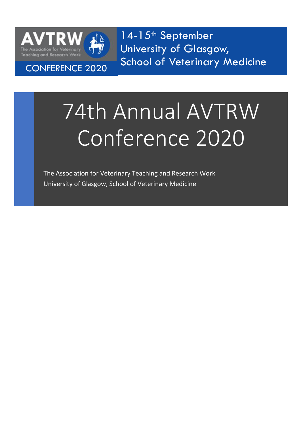

14-15<sup>th</sup> September University of Glasgow, School of Veterinary Medicine CONFERENCE 2020

# 74th Annual AVTRW Conference 2020

The Association for Veterinary Teaching and Research Work University of Glasgow, School of Veterinary Medicine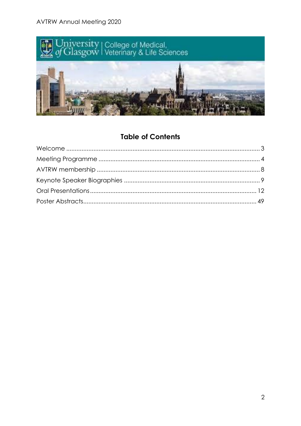**AVTRW Annual Meeting 2020** 



# **Table of Contents**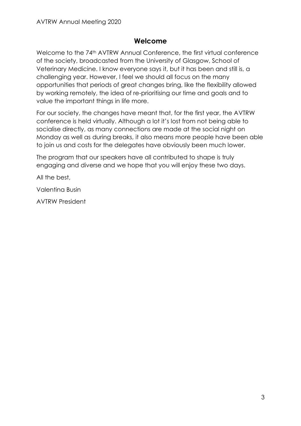# **Welcome**

<span id="page-2-0"></span>Welcome to the 74<sup>th</sup> AVTRW Annual Conference, the first virtual conference of the society, broadcasted from the University of Glasgow, School of Veterinary Medicine. I know everyone says it, but it has been and still is, a challenging year. However, I feel we should all focus on the many opportunities that periods of great changes bring, like the flexibility allowed by working remotely, the idea of re-prioritising our time and goals and to value the important things in life more.

For our society, the changes have meant that, for the first year, the AVTRW conference is held virtually. Although a lot it's lost from not being able to socialise directly, as many connections are made at the social night on Monday as well as during breaks, it also means more people have been able to join us and costs for the delegates have obviously been much lower.

The program that our speakers have all contributed to shape is truly engaging and diverse and we hope that you will enjoy these two days.

All the best,

Valentina Busin

AVTRW President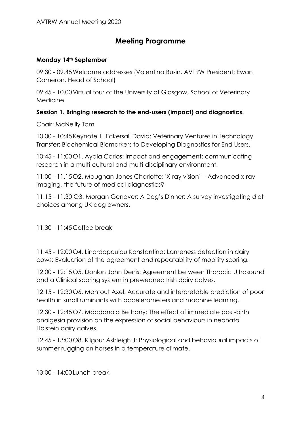# **Meeting Programme**

# <span id="page-3-0"></span>**Monday 14th September**

09:30 - 09.45Welcome addresses (Valentina Busin, AVTRW President; Ewan Cameron, Head of School)

09:45 - 10.00Virtual tour of the University of Glasgow, School of Veterinary Medicine

# **Session 1. Bringing research to the end-users (impact) and diagnostics.**

Chair: McNeilly Tom

10.00 - 10:45Keynote 1. Eckersall David: Veterinary Ventures in Technology Transfer: Biochemical Biomarkers to Developing Diagnostics for End Users.

10:45 - 11:00O1. Ayala Carlos: Impact and engagement: communicating research in a multi-cultural and multi-disciplinary environment.

11:00 - 11.15O2. Maughan Jones Charlotte: 'X-ray vision' – Advanced x-ray imaging, the future of medical diagnostics?

11.15 - 11.30 O3. Morgan Genever: A Dog's Dinner: A survey investigating diet choices among UK dog owners.

11:30 - 11:45 Coffee break

11:45 - 12:00O4. Linardopoulou Konstantina: Lameness detection in dairy cows: Evaluation of the agreement and repeatability of mobility scoring.

12:00 - 12:15O5. Donlon John Denis: Agreement between Thoracic Ultrasound and a Clinical scoring system in preweaned Irish dairy calves.

12:15 - 12:30O6. Montout Axel: Accurate and interpretable prediction of poor health in small ruminants with accelerometers and machine learning.

12:30 - 12:45O7. Macdonald Bethany: The effect of immediate post-birth analgesia provision on the expression of social behaviours in neonatal Holstein dairy calves.

12:45 - 13:00O8. Kilgour Ashleigh J: Physiological and behavioural impacts of summer rugging on horses in a temperature climate.

13:00 - 14:00Lunch break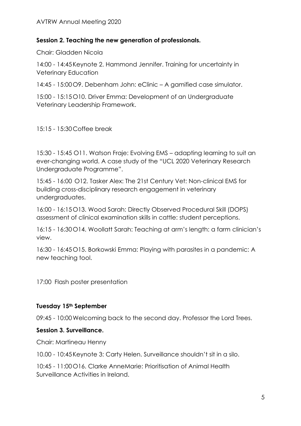## **Session 2. Teaching the new generation of professionals.**

Chair: Gladden Nicola

14:00 - 14:45Keynote 2. Hammond Jennifer. Training for uncertainty in Veterinary Education

14:45 - 15:00O9. Debenham John: eClinic – A gamified case simulator.

15:00 - 15:15O10. Driver Emma: Development of an Undergraduate Veterinary Leadership Framework.

15:15 - 15:30 Coffee break

15:30 - 15:45 O11. Watson Fraje: Evolving EMS – adapting learning to suit an ever-changing world. A case study of the "UCL 2020 Veterinary Research Undergraduate Programme".

15:45 - 16:00 O12. Tasker Alex: The 21st Century Vet: Non-clinical EMS for building cross-disciplinary research engagement in veterinary undergraduates.

16:00 - 16:15O13. Wood Sarah: Directly Observed Procedural Skill (DOPS) assessment of clinical examination skills in cattle: student perceptions.

16:15 - 16:30O14. Woollatt Sarah: Teaching at arm's length: a farm clinician's view.

16:30 - 16:45O15. Borkowski Emma: Playing with parasites in a pandemic: A new teaching tool.

17:00 Flash poster presentation

# **Tuesday 15th September**

09:45 - 10:00Welcoming back to the second day. Professor the Lord Trees.

## **Session 3. Surveillance.**

Chair: Martineau Henny

10.00 - 10:45Keynote 3: Carty Helen. Surveillance shouldn't sit in a silo.

10:45 - 11:00O16. Clarke AnneMarie: Prioritisation of Animal Health Surveillance Activities in Ireland.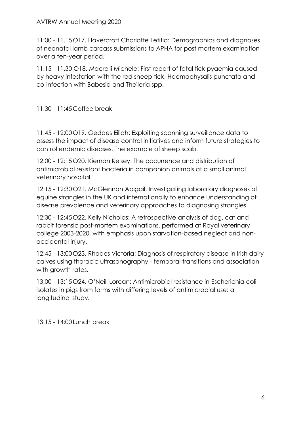## AVTRW Annual Meeting 2020

11:00 - 11.15O17. Havercroft Charlotte Letitia: Demographics and diagnoses of neonatal lamb carcass submissions to APHA for post mortem examination over a ten-year period.

11.15 - 11.30 O18. Macrelli Michele: First report of fatal tick pyaemia caused by heavy infestation with the red sheep tick, Haemaphysalis punctata and co-infection with Babesia and Theileria spp.

11:30 - 11:45 Coffee break

11:45 - 12:00O19. Geddes Eilidh: Exploiting scanning surveillance data to assess the impact of disease control initiatives and inform future strategies to control endemic diseases. The example of sheep scab.

12:00 - 12:15O20. Kiernan Kelsey: The occurrence and distribution of antimicrobial resistant bacteria in companion animals at a small animal veterinary hospital.

12:15 - 12:30O21. McGlennon Abigail. Investigating laboratory diagnoses of equine strangles in the UK and internationally to enhance understanding of disease prevalence and veterinary approaches to diagnosing strangles.

12:30 - 12:45O22. Kelly Nicholas: A retrospective analysis of dog, cat and rabbit forensic post-mortem examinations, performed at Royal veterinary college 2003-2020, with emphasis upon starvation-based neglect and nonaccidental injury.

12:45 - 13:00O23. Rhodes Victoria: Diagnosis of respiratory disease in Irish dairy calves using thoracic ultrasonography - temporal transitions and association with growth rates.

13:00 - 13:15O24. O'Neill Lorcan: Antimicrobial resistance in Escherichia coli isolates in pigs from farms with differing levels of antimicrobial use: a longitudinal study.

13:15 - 14:00Lunch break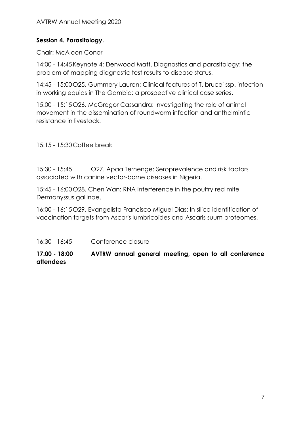# **Session 4. Parasitology.**

Chair: McAloon Conor

14:00 - 14:45Keynote 4: Denwood Matt. Diagnostics and parasitology: the problem of mapping diagnostic test results to disease status.

14:45 - 15:00O25. Gummery Lauren: Clinical features of T. brucei ssp. infection in working equids in The Gambia: a prospective clinical case series.

15:00 - 15:15O26. McGregor Cassandra: Investigating the role of animal movement in the dissemination of roundworm infection and anthelmintic resistance in livestock.

15:15 - 15:30 Coffee break

15:30 - 15:45 O27. Apaa Ternenge: Seroprevalence and risk factors associated with canine vector-borne diseases in Nigeria.

15:45 - 16:00O28. Chen Wan: RNA interference in the poultry red mite Dermanyssus gallinae.

16:00 - 16:15O29. Evangelista Francisco Miguel Dias: In silico identification of vaccination targets from Ascaris lumbricoides and Ascaris suum proteomes.

16:30 - 16:45 Conference closure

**17:00 - 18:00 AVTRW annual general meeting, open to all conference attendees**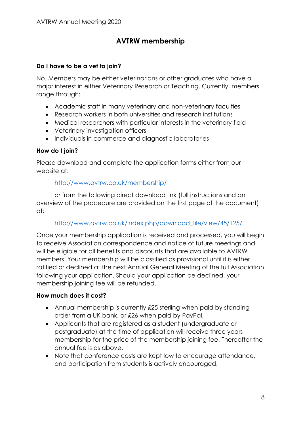# **AVTRW membership**

## <span id="page-7-0"></span>**Do I have to be a vet to join?**

No. Members may be either veterinarians or other graduates who have a major interest in either Veterinary Research or Teaching. Currently, members range through:

- Academic staff in many veterinary and non-veterinary faculties
- Research workers in both universities and research institutions
- Medical researchers with particular interests in the veterinary field
- Veterinary investigation officers
- Individuals in commerce and diagnostic laboratories

## **How do I join?**

Please download and complete the application forms either from our website at:

## <http://www.avtrw.co.uk/membership/>

or from the following direct download link (full instructions and an overview of the procedure are provided on the first page of the document) at:

## [http://www.avtrw.co.uk/index.php/download\\_file/view/45/125/](http://www.avtrw.co.uk/index.php/download_file/view/45/125/)

Once your membership application is received and processed, you will begin to receive Association correspondence and notice of future meetings and will be eligible for all benefits and discounts that are available to AVTRW members. Your membership will be classified as provisional until it is either ratified or declined at the next Annual General Meeting of the full Association following your application. Should your application be declined, your membership joining fee will be refunded.

## **How much does it cost?**

- Annual membership is currently £25 sterling when paid by standing order from a UK bank, or £26 when paid by PayPal.
- Applicants that are registered as a student (undergraduate or postgraduate) at the time of application will receive three years membership for the price of the membership joining fee. Thereafter the annual fee is as above.
- Note that conference costs are kept low to encourage attendance, and participation from students is actively encouraged.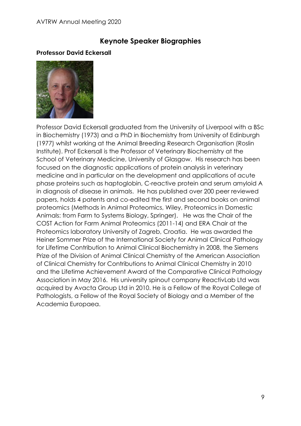# **Keynote Speaker Biographies**

## <span id="page-8-0"></span>**Professor David Eckersall**



Professor David Eckersall graduated from the University of Liverpool with a BSc in Biochemistry (1973) and a PhD in Biochemistry from University of Edinburgh (1977) whilst working at the Animal Breeding Research Organisation (Roslin Institute). Prof Eckersall is the Professor of Veterinary Biochemistry at the School of Veterinary Medicine, University of Glasgow. His research has been focused on the diagnostic applications of protein analysis in veterinary medicine and in particular on the development and applications of acute phase proteins such as haptoglobin, C-reactive protein and serum amyloid A in diagnosis of disease in animals. He has published over 200 peer reviewed papers, holds 4 patents and co-edited the first and second books on animal proteomics (Methods in Animal Proteomics, Wiley, Proteomics in Domestic Animals: from Farm to Systems Biology, Springer). He was the Chair of the COST Action for Farm Animal Proteomics (2011-14) and ERA Chair at the Proteomics laboratory University of Zagreb, Croatia. He was awarded the Heiner Sommer Prize of the International Society for Animal Clinical Pathology for Lifetime Contribution to Animal Clinical Biochemistry in 2008, the Siemens Prize of the Division of Animal Clinical Chemistry of the American Association of Clinical Chemistry for Contributions to Animal Clinical Chemistry in 2010 and the Lifetime Achievement Award of the Comparative Clinical Pathology Association in May 2016. His university spinout company ReactivLab Ltd was acquired by Avacta Group Ltd in 2010. He is a Fellow of the Royal College of Pathologists, a Fellow of the Royal Society of Biology and a Member of the Academia Europaea.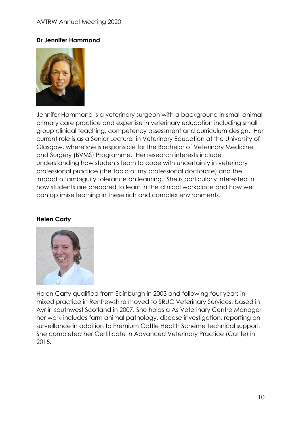#### AVTRW Annual Meeting 2020

## **Dr Jennifer Hammond**



Jennifer Hammond is a veterinary surgeon with a background in small animal primary care practice and expertise in veterinary education including small group clinical teaching, competency assessment and curriculum design. Her current role is as a Senior Lecturer in Veterinary Education at the University of Glasgow, where she is responsible for the Bachelor of Veterinary Medicine and Surgery (BVMS) Programme. Her research interests include understanding how students learn to cope with uncertainty in veterinary professional practice (the topic of my professional doctorate) and the impact of ambiguity tolerance on learning. She is particularly interested in how students are prepared to learn in the clinical workplace and how we can optimise learning in these rich and complex environments.

#### **Helen Carty**



Helen Carty qualified from Edinburgh in 2003 and following four years in mixed practice in Renfrewshire moved to SRUC Veterinary Services, based in Ayr in southwest Scotland in 2007. She holds a As Veterinary Centre Manager her work includes farm animal pathology, disease investigation, reporting on surveillance in addition to Premium Cattle Health Scheme technical support. She completed her Certificate in Advanced Veterinary Practice (Cattle) in 2015.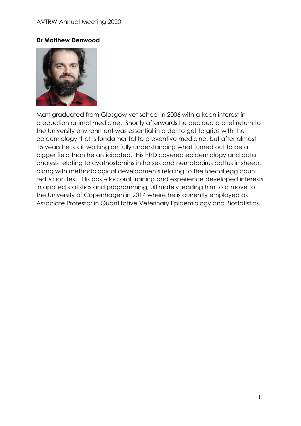## **Dr Matthew Denwood**



Matt graduated from Glasgow vet school in 2006 with a keen interest in production animal medicine. Shortly afterwards he decided a brief return to the University environment was essential in order to get to grips with the epidemiology that is fundamental to preventive medicine, but after almost 15 years he is still working on fully understanding what turned out to be a bigger field than he anticipated. His PhD covered epidemiology and data analysis relating to cyathostomins in horses and nematodirus battus in sheep, along with methodological developments relating to the faecal egg count reduction test. His post-doctoral training and experience developed interests in applied statistics and programming, ultimately leading him to a move to the University of Copenhagen in 2014 where he is currently employed as Associate Professor in Quantitative Veterinary Epidemiology and Biostatistics.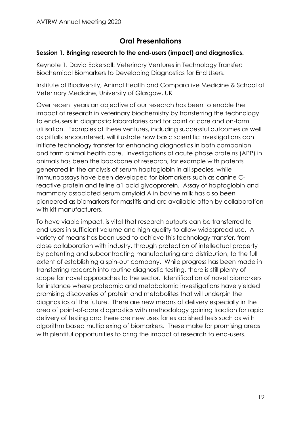# **Oral Presentations**

## <span id="page-11-0"></span>**Session 1. Bringing research to the end-users (impact) and diagnostics.**

Keynote 1. David Eckersall: Veterinary Ventures in Technology Transfer: Biochemical Biomarkers to Developing Diagnostics for End Users.

Institute of Biodiversity, Animal Health and Comparative Medicine & School of Veterinary Medicine, University of Glasgow, UK

Over recent years an objective of our research has been to enable the impact of research in veterinary biochemistry by transferring the technology to end-users in diagnostic laboratories and for point of care and on-farm utilisation. Examples of these ventures, including successful outcomes as well as pitfalls encountered, will illustrate how basic scientific investigations can initiate technology transfer for enhancing diagnostics in both companion and farm animal health care. Investigations of acute phase proteins (APP) in animals has been the backbone of research, for example with patents generated in the analysis of serum haptoglobin in all species, while immunoassays have been developed for biomarkers such as canine Creactive protein and feline a1 acid glycoprotein. Assay of haptoglobin and mammary associated serum amyloid A in bovine milk has also been pioneered as biomarkers for mastitis and are available often by collaboration with kit manufacturers.

To have viable impact, is vital that research outputs can be transferred to end-users in sufficient volume and high quality to allow widespread use. A variety of means has been used to achieve this technology transfer, from close collaboration with industry, through protection of intellectual property by patenting and subcontracting manufacturing and distribution, to the full extent of establishing a spin-out company. While progress has been made in transferring research into routine diagnostic testing, there is still plenty of scope for novel approaches to the sector. Identification of novel biomarkers for instance where proteomic and metabolomic investigations have yielded promising discoveries of protein and metabolites that will underpin the diagnostics of the future. There are new means of delivery especially in the area of point-of-care diagnostics with methodology gaining traction for rapid delivery of testing and there are new uses for established tests such as with algorithm based multiplexing of biomarkers. These make for promising areas with plentiful opportunities to bring the impact of research to end-users.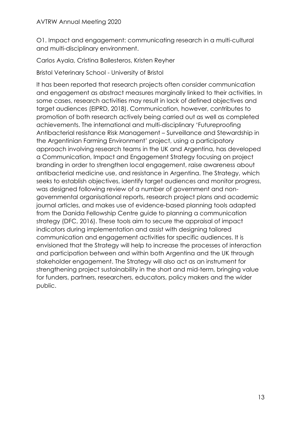O1. Impact and engagement: communicating research in a multi-cultural and multi-disciplinary environment.

Carlos Ayala, Cristina Ballesteros, Kristen Reyher

Bristol Veterinary School - University of Bristol

It has been reported that research projects often consider communication and engagement as abstract measures marginally linked to their activities. In some cases, research activities may result in lack of defined objectives and target audiences (EIPRD, 2018). Communication, however, contributes to promotion of both research actively being carried out as well as completed achievements. The international and multi-disciplinary 'Futureproofing Antibacterial resistance Risk Management – Surveillance and Stewardship in the Argentinian Farming Environment' project, using a participatory approach involving research teams in the UK and Argentina, has developed a Communication, Impact and Engagement Strategy focusing on project branding in order to strengthen local engagement, raise awareness about antibacterial medicine use, and resistance in Argentina. The Strategy, which seeks to establish objectives, identify target audiences and monitor progress, was designed following review of a number of government and nongovernmental organisational reports, research project plans and academic journal articles, and makes use of evidence-based planning tools adapted from the Danida Fellowship Centre guide to planning a communication strategy (DFC, 2016). These tools aim to secure the appraisal of impact indicators during implementation and assist with designing tailored communication and engagement activities for specific audiences. It is envisioned that the Strategy will help to increase the processes of interaction and participation between and within both Argentina and the UK through stakeholder engagement. The Strategy will also act as an instrument for strengthening project sustainability in the short and mid-term, bringing value for funders, partners, researchers, educators, policy makers and the wider public.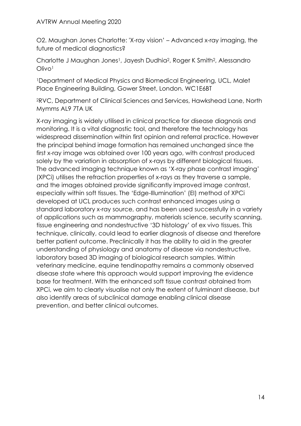O2. Maughan Jones Charlotte: 'X-ray vision' – Advanced x-ray imaging, the future of medical diagnostics?

Charlotte J Maughan Jones<sup>1</sup>, Jayesh Dudhia<sup>2</sup>, Roger K Smith<sup>2</sup>, Alessandro Olivo<sup>1</sup>

<sup>1</sup>Department of Medical Physics and Biomedical Engineering, UCL, Malet Place Engineering Building, Gower Street, London. WC1E6BT

<sup>2</sup>RVC, Department of Clinical Sciences and Services, Hawkshead Lane, North Mymms AL9 7TA UK

X-ray imaging is widely utilised in clinical practice for disease diagnosis and monitoring. It is a vital diagnostic tool, and therefore the technology has widespread dissemination within first opinion and referral practice. However the principal behind image formation has remained unchanged since the first x-ray image was obtained over 100 years ago, with contrast produced solely by the variation in absorption of x-rays by different biological tissues. The advanced imaging technique known as 'X-ray phase contrast imaging' (XPCi) utilises the refraction properties of x-rays as they traverse a sample, and the images obtained provide significantly improved image contrast, especially within soft tissues. The 'Edge-Illumination' (EI) method of XPCi developed at UCL produces such contrast enhanced images using a standard laboratory x-ray source, and has been used successfully in a variety of applications such as mammography, materials science, security scanning, tissue engineering and nondestructive '3D histology' of ex vivo tissues. This technique, clinically, could lead to earlier diagnosis of disease and therefore better patient outcome. Preclinically it has the ability to aid in the greater understanding of physiology and anatomy of disease via nondestructive, laboratory based 3D imaging of biological research samples. Within veterinary medicine, equine tendinopathy remains a commonly observed disease state where this approach would support improving the evidence base for treatment. With the enhanced soft tissue contrast obtained from XPCi, we aim to clearly visualise not only the extent of fulminant disease, but also identify areas of subclinical damage enabling clinical disease prevention, and better clinical outcomes.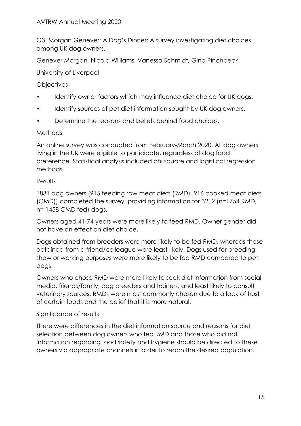O3. Morgan Genever: A Dog's Dinner: A survey investigating diet choices among UK dog owners.

Genever Morgan, Nicola Williams, Vanessa Schmidt, Gina Pinchbeck

University of Liverpool

## **Objectives**

- Identify owner factors which may influence diet choice for UK dogs.
- Identify sources of pet diet information sought by UK dog owners.
- Determine the reasons and beliefs behind food choices.

## Methods

An online survey was conducted from February-March 2020. All dog owners living in the UK were eligible to participate, regardless of dog food preference. Statistical analysis included chi square and logistical regression methods.

## **Results**

1831 dog owners (915 feeding raw meat diets (RMD), 916 cooked meat diets (CMD)) completed the survey, providing information for 3212 (n=1754 RMD, n= 1458 CMD fed) dogs.

Owners aged 41-74 years were more likely to feed RMD. Owner gender did not have an effect on diet choice.

Dogs obtained from breeders were more likely to be fed RMD, whereas those obtained from a friend/colleague were least likely. Dogs used for breeding, show or working purposes were more likely to be fed RMD compared to pet dogs.

Owners who chose RMD were more likely to seek diet information from social media, friends/family, dog breeders and trainers, and least likely to consult veterinary sources. RMDs were most commonly chosen due to a lack of trust of certain foods and the belief that it is more natural.

# Significance of results

There were differences in the diet information source and reasons for diet selection between dog owners who fed RMD and those who did not. Information regarding food safety and hygiene should be directed to these owners via appropriate channels in order to reach the desired population.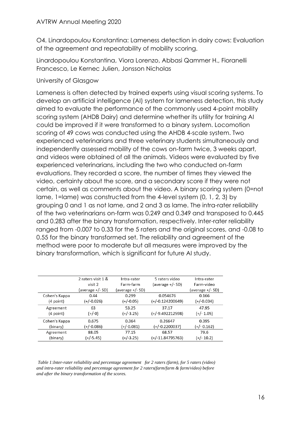O4. Linardopoulou Konstantina: Lameness detection in dairy cows: Evaluation of the agreement and repeatability of mobility scoring.

Linardopoulou Konstantina, Viora Lorenzo, Abbasi Qammer H., Fioranelli Francesco, Le Kernec Julien, Jonsson Nicholas

## University of Glasgow

Lameness is often detected by trained experts using visual scoring systems. To develop an artificial intelligence (AI) system for lameness detection, this study aimed to evaluate the performance of the commonly used 4-point mobility scoring system (AHDB Dairy) and determine whether its utility for training AI could be improved if it were transformed to a binary system. Locomotion scoring of 49 cows was conducted using the AHDB 4-scale system. Two experienced veterinarians and three veterinary students simultaneously and independently assessed mobility of the cows on-farm twice, 3 weeks apart, and videos were obtained of all the animals. Videos were evaluated by five experienced veterinarians, including the two who conducted on-farm evaluations. They recorded a score, the number of times they viewed the video, certainty about the score, and a secondary score if they were not certain, as well as comments about the video. A binary scoring system (0=not lame, 1=lame) was constructed from the 4-level system (0, 1, 2, 3) by grouping 0 and 1 as not lame, and 2 and 3 as lame. The intra-rater reliability of the two veterinarians on-farm was 0.249 and 0.349 and transposed to 0.445 and 0.283 after the binary transformation, respectively. Inter-rater reliability ranged from -0.007 to 0.33 for the 5 raters and the original scores, and -0.08 to 0.55 for the binary transformed set. The reliability and agreement of the method were poor to moderate but all measures were improved by the binary transformation, which is significant for future AI study.

|               | 2 raters visit 1 & | Intra-rater      | 5 raters video     | Intra-rater      |
|---------------|--------------------|------------------|--------------------|------------------|
|               | visit 2            | Farm-farm        | (average +/- SD)   | Farm-video       |
|               | (average +/- SD)   | (average +/- SD) |                    | (average +/- SD) |
| Cohen's Kappa | 0.44               | 0.299            | 0.054676           | 0.166            |
| $(4$ point)   | $(+/-0.026)$       | $(+/-0.05)$      | $(+/-0.124200649)$ | $(+/-0.034)$     |
| Agreement     | 63                 | 53.25            | 37.17              | 47.95            |
| $(4$ point)   | $(+/-0)$           | $(+/-3.25)$      | $(+/-9.492212598)$ | $(+/- 1.05)$     |
| Cohen's Kappa | 0.675              | 0.364            | 0.26647            | 0.395            |
| (binary)      | (+/-0.086)         | $(+/-0.081)$     | $(+/-0.2200037)$   | $(+/- 0.162)$    |
| Agreement     | 88.05              | 77.15            | 68.57              | 79.6             |
| (binary)      | $(+/-5.45)$        | (+/-3.25)        | (+/-11.84795763)   | $(+/- 10.2)$     |
|               |                    |                  |                    |                  |

*Table 1:Inter-rater reliability and percentage agreement for 2 raters (farm), for 5 raters (video) and intra-rater reliability and percentage agreement for 2 raters(farm/farm & farm/video) before and after the binary transformation of the scores.*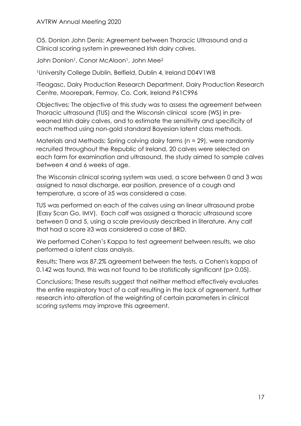O5. Donlon John Denis: Agreement between Thoracic Ultrasound and a Clinical scoring system in preweaned Irish dairy calves.

John Donlon<sup>1</sup>, Conor McAloon<sup>1</sup>, John Mee<sup>2</sup>

<sup>1</sup>University College Dublin, Belfield, Dublin 4, Ireland D04V1W8

<sup>2</sup>Teagasc, Dairy Production Research Department, Dairy Production Research Centre, Moorepark, Fermoy, Co. Cork, Ireland P61C996

Objectives; The objective of this study was to assess the agreement between Thoracic ultrasound (TUS) and the Wisconsin clinical score (WS) in preweaned Irish dairy calves, and to estimate the sensitivity and specificity of each method using non-gold standard Bayesian latent class methods.

Materials and Methods; Spring calving dairy farms (n = 29), were randomly recruited throughout the Republic of Ireland, 20 calves were selected on each farm for examination and ultrasound, the study aimed to sample calves between 4 and 6 weeks of age.

The Wisconsin clinical scoring system was used, a score between 0 and 3 was assigned to nasal discharge, ear position, presence of a cough and temperature, a score of ≥5 was considered a case.

TUS was performed on each of the calves using an linear ultrasound probe (Easy Scan Go, IMV). Each calf was assigned a thoracic ultrasound score between 0 and 5, using a scale previously described in literature. Any calf that had a score ≥3 was considered a case of BRD.

We performed Cohen's Kappa to test agreement between results, we also performed a latent class analysis.

Results; There was 87.2% agreement between the tests, a Cohen's kappa of 0.142 was found, this was not found to be statistically significant (p> 0.05).

Conclusions; These results suggest that neither method effectively evaluates the entire respiratory tract of a calf resulting in the lack of agreement, further research into alteration of the weighting of certain parameters in clinical scoring systems may improve this agreement.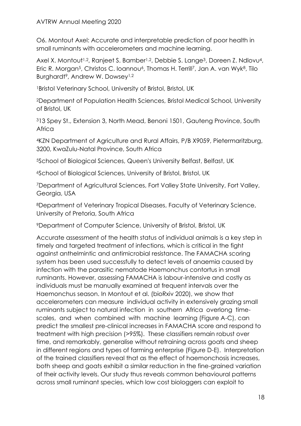O6. Montout Axel: Accurate and interpretable prediction of poor health in small ruminants with accelerometers and machine learning.

Axel X. Montout<sup>1,2</sup>, Ranjeet S. Bamber<sup>1,2</sup>, Debbie S. Lange<sup>3</sup>, Doreen Z. Ndlovu<sup>4</sup>, Eric R. Morgan<sup>5</sup>, Christos C. Ioannou<sup>6</sup>, Thomas H. Terrill<sup>7</sup>, Jan A. van Wyk<sup>8</sup>, Tilo Burghardt<sup>9</sup>, Andrew W. Dowsey<sup>1,2</sup>

1Bristol Veterinary School, University of Bristol, Bristol, UK

<sup>2</sup>Department of Population Health Sciences, Bristol Medical School, University of Bristol, UK

<sup>3</sup>13 Spey St., Extension 3, North Mead, Benoni 1501, Gauteng Province, South **Africa** 

<sup>4</sup>KZN Department of Agriculture and Rural Affairs, P/B X9059, Pietermaritzburg, 3200, KwaZulu-Natal Province, South Africa

<sup>5</sup>School of Biological Sciences, Queen's University Belfast, Belfast, UK

<sup>6</sup>School of Biological Sciences, University of Bristol, Bristol, UK

<sup>7</sup>Department of Agricultural Sciences, Fort Valley State University, Fort Valley, Georgia, USA

<sup>8</sup>Department of Veterinary Tropical Diseases, Faculty of Veterinary Science, University of Pretoria, South Africa

<sup>9</sup>Department of Computer Science, University of Bristol, Bristol, UK

Accurate assessment of the health status of individual animals is a key step in timely and targeted treatment of infections, which is critical in the fight against anthelmintic and antimicrobial resistance. The FAMACHA scoring system has been used successfully to detect levels of anaemia caused by infection with the parasitic nematode Haemonchus contortus in small ruminants. However, assessing FAMACHA is labour-intensive and costly as individuals must be manually examined at frequent intervals over the Haemonchus season. In Montout et al. (bioRxiv 2020), we show that accelerometers can measure individual activity in extensively grazing small ruminants subject to natural infection in southern Africa overlong timescales, and when combined with machine learning (Figure A-C), can predict the smallest pre-clinical increases in FAMACHA score and respond to treatment with high precision (>95%). These classifiers remain robust over time, and remarkably, generalise without retraining across goats and sheep in different regions and types of farming enterprise (Figure D-E). Interpretation of the trained classifiers reveal that as the effect of haemonchosis increases, both sheep and goats exhibit a similar reduction in the fine-grained variation of their activity levels. Our study thus reveals common behavioural patterns across small ruminant species, which low cost biologgers can exploit to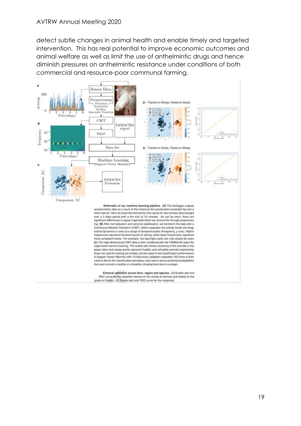detect subtle changes in animal health and enable timely and targeted intervention. This has real potential to improve economic outcomes and animal welfare as well as limit the use of anthelmintic drugs and hence diminish pressures on anthelmintic resistance under conditions of both commercial and resource-poor communal farming.



accelerometry data as a count of the instances the acceleration exceeded 2a over a short interval. Here we show derived activity time series for two animals (blue/orange) over a 5 days period with a bin size of 10 minutes. As can be seen, there are significant differences in signal magnitude which we account for through preprocessing. (B) After normalisation and variance stabilisation, we transform the data with a Continuous Wavelet Transform (CWT), which separates the activity levels into longitudinal dynamics (x axis) at a range of temporal scales (Frequency, y axis). Higher frequencies represent transient bursts of activity, while lower frequencies represent more consistent levels. For example, the dayinight cycle can now clearly be seen. (C) The high-dimensional CWT data is then combined with the FAMACHA report for supervised machine learning. The scatter plot shows clustering of the animals in this space (blue and orange points represent healthy and unhealthy animals respectively; those not used for training are circled, and are used to test classification performance). A Support Vector Machine with 10-fold cross-validation repeated 100 times is then used to derive the classification boundary (red) and to derive predicted probabilities. that each animal is healthy or unhealthy (shading from blue to orange).

External validation across farm, region and species. (D) Scatter plot and ROC curve for the classifier trained on the sheep at Delmas and tested on the goats at Cedara. (E) Scatter plot and ROC curve for the reciprocal.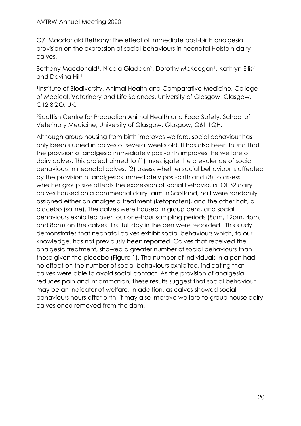O7. Macdonald Bethany: The effect of immediate post-birth analgesia provision on the expression of social behaviours in neonatal Holstein dairy calves.

Bethany Macdonald<sup>1</sup>, Nicola Gladden<sup>2</sup>, Dorothy McKeegan<sup>1</sup>, Kathryn Ellis<sup>2</sup> and Davina Hill<sup>1</sup>

<sup>1</sup>Institute of Biodiversity, Animal Health and Comparative Medicine, College of Medical, Veterinary and Life Sciences, University of Glasgow, Glasgow, G12 8QQ, UK.

<sup>2</sup>Scottish Centre for Production Animal Health and Food Safety, School of Veterinary Medicine, University of Glasgow, Glasgow, G61 1QH.

Although group housing from birth improves welfare, social behaviour has only been studied in calves of several weeks old. It has also been found that the provision of analgesia immediately post-birth improves the welfare of dairy calves. This project aimed to (1) investigate the prevalence of social behaviours in neonatal calves, (2) assess whether social behaviour is affected by the provision of analgesics immediately post-birth and (3) to assess whether group size affects the expression of social behaviours. Of 32 dairy calves housed on a commercial dairy farm in Scotland, half were randomly assigned either an analgesia treatment (ketoprofen), and the other half, a placebo (saline). The calves were housed in group pens, and social behaviours exhibited over four one-hour sampling periods (8am, 12pm, 4pm, and 8pm) on the calves' first full day in the pen were recorded. This study demonstrates that neonatal calves exhibit social behaviours which, to our knowledge, has not previously been reported. Calves that received the analgesic treatment, showed a greater number of social behaviours than those given the placebo (Figure 1). The number of individuals in a pen had no effect on the number of social behaviours exhibited, indicating that calves were able to avoid social contact. As the provision of analgesia reduces pain and inflammation, these results suggest that social behaviour may be an indicator of welfare. In addition, as calves showed social behaviours hours after birth, it may also improve welfare to group house dairy calves once removed from the dam.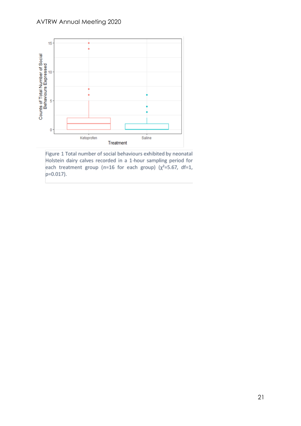

Figure 1 Total number of social behaviours exhibited by neonatal Holstein dairy calves recorded in a 1-hour sampling period for each treatment group (n=16 for each group) ( $\chi^2$ =5.67, df=1, p=0.017).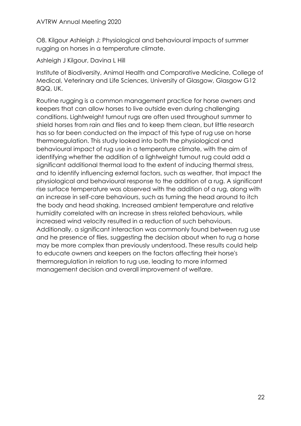O8. Kilgour Ashleigh J: Physiological and behavioural impacts of summer rugging on horses in a temperature climate.

Ashleigh J Kilgour, Davina L Hill

Institute of Biodiversity, Animal Health and Comparative Medicine, College of Medical, Veterinary and Life Sciences, University of Glasgow, Glasgow G12 8QQ, UK.

Routine rugging is a common management practice for horse owners and keepers that can allow horses to live outside even during challenging conditions. Lightweight turnout rugs are often used throughout summer to shield horses from rain and flies and to keep them clean, but little research has so far been conducted on the impact of this type of rug use on horse thermoregulation. This study looked into both the physiological and behavioural impact of rug use in a temperature climate, with the aim of identifying whether the addition of a lightweight turnout rug could add a significant additional thermal load to the extent of inducing thermal stress, and to identify influencing external factors, such as weather, that impact the physiological and behavioural response to the addition of a rug. A significant rise surface temperature was observed with the addition of a rug, along with an increase in self-care behaviours, such as turning the head around to itch the body and head shaking. Increased ambient temperature and relative humidity correlated with an increase in stress related behaviours, while increased wind velocity resulted in a reduction of such behaviours. Additionally, a significant interaction was commonly found between rug use and he presence of flies, suggesting the decision about when to rug a horse may be more complex than previously understood. These results could help to educate owners and keepers on the factors affecting their horse's thermoregulation in relation to rug use, leading to more informed management decision and overall improvement of welfare.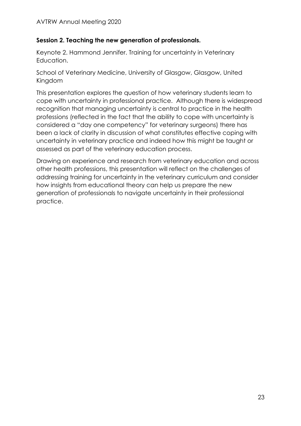# **Session 2. Teaching the new generation of professionals.**

Keynote 2. Hammond Jennifer. Training for uncertainty in Veterinary Education.

School of Veterinary Medicine, University of Glasgow, Glasgow, United Kingdom

This presentation explores the question of how veterinary students learn to cope with uncertainty in professional practice. Although there is widespread recognition that managing uncertainty is central to practice in the health professions (reflected in the fact that the ability to cope with uncertainty is considered a "day one competency" for veterinary surgeons) there has been a lack of clarity in discussion of what constitutes effective coping with uncertainty in veterinary practice and indeed how this might be taught or assessed as part of the veterinary education process.

Drawing on experience and research from veterinary education and across other health professions, this presentation will reflect on the challenges of addressing training for uncertainty in the veterinary curriculum and consider how insights from educational theory can help us prepare the new generation of professionals to navigate uncertainty in their professional practice.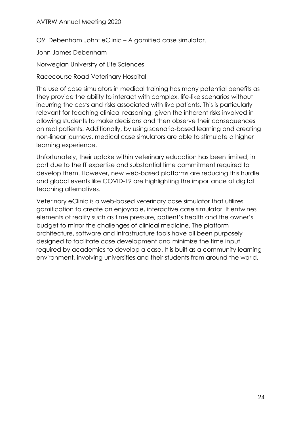O9. Debenham John: eClinic – A gamified case simulator.

John James Debenham

Norwegian University of Life Sciences

Racecourse Road Veterinary Hospital

The use of case simulators in medical training has many potential benefits as they provide the ability to interact with complex, life-like scenarios without incurring the costs and risks associated with live patients. This is particularly relevant for teaching clinical reasoning, given the inherent risks involved in allowing students to make decisions and then observe their consequences on real patients. Additionally, by using scenario-based learning and creating non-linear journeys, medical case simulators are able to stimulate a higher learning experience.

Unfortunately, their uptake within veterinary education has been limited, in part due to the IT expertise and substantial time commitment required to develop them. However, new web-based platforms are reducing this hurdle and global events like COVID-19 are highlighting the importance of digital teaching alternatives.

Veterinary eClinic is a web-based veterinary case simulator that utilizes gamification to create an enjoyable, interactive case simulator. It entwines elements of reality such as time pressure, patient's health and the owner's budget to mirror the challenges of clinical medicine. The platform architecture, software and infrastructure tools have all been purposely designed to facilitate case development and minimize the time input required by academics to develop a case. It is built as a community learning environment, involving universities and their students from around the world.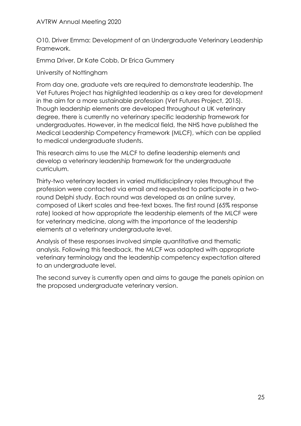O10. Driver Emma: Development of an Undergraduate Veterinary Leadership Framework.

Emma Driver, Dr Kate Cobb, Dr Erica Gummery

University of Nottingham

From day one, graduate vets are required to demonstrate leadership. The Vet Futures Project has highlighted leadership as a key area for development in the aim for a more sustainable profession (Vet Futures Project, 2015). Though leadership elements are developed throughout a UK veterinary degree, there is currently no veterinary specific leadership framework for undergraduates. However, in the medical field, the NHS have published the Medical Leadership Competency Framework (MLCF), which can be applied to medical undergraduate students.

This research aims to use the MLCF to define leadership elements and develop a veterinary leadership framework for the undergraduate curriculum.

Thirty-two veterinary leaders in varied multidisciplinary roles throughout the profession were contacted via email and requested to participate in a tworound Delphi study. Each round was developed as an online survey, composed of Likert scales and free-text boxes. The first round (65% response rate) looked at how appropriate the leadership elements of the MLCF were for veterinary medicine, along with the importance of the leadership elements at a veterinary undergraduate level.

Analysis of these responses involved simple quantitative and thematic analysis. Following this feedback, the MLCF was adapted with appropriate veterinary terminology and the leadership competency expectation altered to an undergraduate level.

The second survey is currently open and aims to gauge the panels opinion on the proposed undergraduate veterinary version.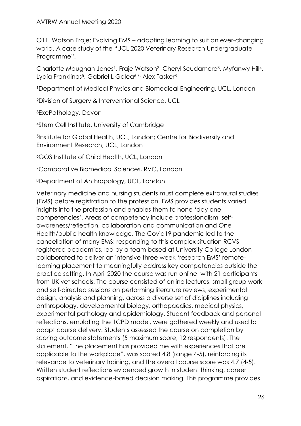O11. Watson Fraje: Evolving EMS – adapting learning to suit an ever-changing world. A case study of the "UCL 2020 Veterinary Research Undergraduate Programme".

Charlotte Maughan Jones<sup>1</sup>, Fraje Watson<sup>2</sup>, Cheryl Scudamore<sup>3</sup>, Myfanwy Hill<sup>4</sup>, Lydia Franklinos<sup>5</sup>, Gabriel L Galea<sup>6,7,</sup> Alex Tasker<sup>8</sup>

<sup>1</sup>Department of Medical Physics and Biomedical Engineering, UCL, London

<sup>2</sup>Division of Surgery & Interventional Science, UCL

<sup>3</sup>ExePathology, Devon

<sup>4</sup>Stem Cell Institute, University of Cambridge

<sup>5</sup>Institute for Global Health, UCL, London; Centre for Biodiversity and Environment Research, UCL, London

<sup>6</sup>GOS Institute of Child Health, UCL, London

<sup>7</sup>Comparative Biomedical Sciences, RVC, London

<sup>8</sup>Department of Anthropology, UCL, London

Veterinary medicine and nursing students must complete extramural studies (EMS) before registration to the profession. EMS provides students varied insights into the profession and enables them to hone 'day one competencies'. Areas of competency include professionalism, selfawareness/reflection, collaboration and communication and One Health/public health knowledge. The Covid19 pandemic led to the cancellation of many EMS; responding to this complex situation RCVSregistered academics, led by a team based at University College London collaborated to deliver an intensive three week 'research EMS' remotelearning placement to meaningfully address key competencies outside the practice setting. In April 2020 the course was run online, with 21 participants from UK vet schools. The course consisted of online lectures, small group work and self-directed sessions on performing literature reviews, experimental design, analysis and planning, across a diverse set of diciplines including anthropology, developmental biology, orthopaedics, medical physics, experimental pathology and epidemiology. Student feedback and personal reflections, emulating the 1CPD model, were gathered weekly and used to adapt course delivery. Students assessed the course on completion by scoring outcome statements (5 maximum score, 12 respondents). The statement, "The placement has provided me with experiences that are applicable to the workplace", was scored 4.8 (range 4-5), reinforcing its relevance to veterinary training, and the overall course score was 4.7 (4-5). Written student reflections evidenced growth in student thinking, career aspirations, and evidence-based decision making. This programme provides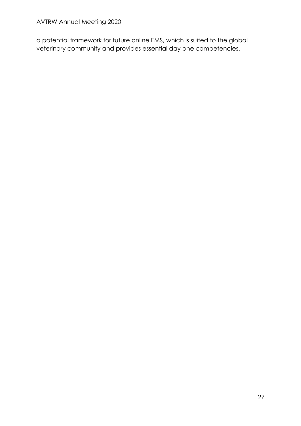a potential framework for future online EMS, which is suited to the global veterinary community and provides essential day one competencies.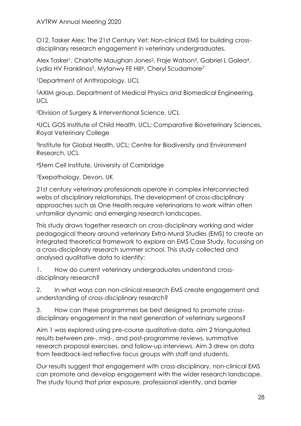O12. Tasker Alex: The 21st Century Vet: Non-clinical EMS for building crossdisciplinary research engagement in veterinary undergraduates.

Alex Tasker<sup>1</sup>, Charlotte Maughan Jones<sup>2</sup>, Fraje Watson<sup>3</sup>, Gabriel L Galea<sup>4</sup>, Lydia HV Franklinos<sup>5</sup>, Myfanwy FE Hill<sup>6</sup>, Cheryl Scudamore<sup>7</sup>

<sup>1</sup>Department of Anthropology, UCL

<sup>2</sup>AXIM group, Department of Medical Physics and Biomedical Engineering, **UCL** 

<sup>3</sup>Division of Surgery & Interventional Science, UCL

<sup>4</sup>UCL GOS Institute of Child Health, UCL; Comparative Bioveterinary Sciences, Royal Veterinary College

<sup>5</sup>Institute for Global Health, UCL; Centre for Biodiversity and Environment Research, UCL

<sup>6</sup>Stem Cell Institute, University of Cambridge

<sup>7</sup>Exepathology, Devon, UK

21st century veterinary professionals operate in complex interconnected webs of disciplinary relationships. The development of cross-disciplinary approaches such as One Health require veterinarians to work within often unfamiliar dynamic and emerging research landscapes.

This study draws together research on cross-disciplinary working and wider pedagogical theory around veterinary Extra-Mural Studies (EMS) to create an integrated theoretical framework to explore an EMS Case Study, focussing on a cross-disciplinary research summer school. This study collected and analysed qualitative data to identify:

1. How do current veterinary undergraduates understand crossdisciplinary research?

2. In what ways can non-clinical research EMS create engagement and understanding of cross-disciplinary research?

3. How can these programmes be best designed to promote crossdisciplinary engagement in the next generation of veterinary surgeons?

Aim 1 was explored using pre-course qualitative data, aim 2 triangulated results between pre-, mid-, and post-programme reviews, summative research proposal exercises, and follow-up interviews. Aim 3 drew on data from feedback-led reflective focus groups with staff and students.

Our results suggest that engagement with cross-disciplinary, non-clinical EMS can promote and develop engagement with the wider research landscape. The study found that prior exposure, professional identity, and barrier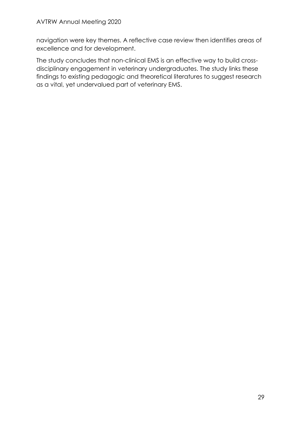navigation were key themes. A reflective case review then identifies areas of excellence and for development.

The study concludes that non-clinical EMS is an effective way to build crossdisciplinary engagement in veterinary undergraduates. The study links these findings to existing pedagogic and theoretical literatures to suggest research as a vital, yet undervalued part of veterinary EMS.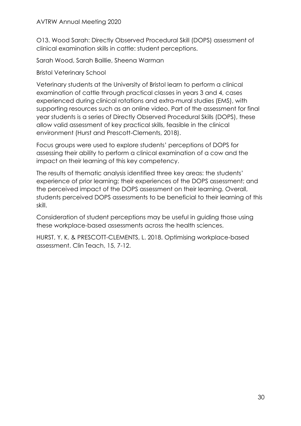O13. Wood Sarah: Directly Observed Procedural Skill (DOPS) assessment of clinical examination skills in cattle: student perceptions.

Sarah Wood, Sarah Baillie, Sheena Warman

Bristol Veterinary School

Veterinary students at the University of Bristol learn to perform a clinical examination of cattle through practical classes in years 3 and 4, cases experienced during clinical rotations and extra-mural studies (EMS), with supporting resources such as an online video. Part of the assessment for final year students is a series of Directly Observed Procedural Skills (DOPS), these allow valid assessment of key practical skills, feasible in the clinical environment (Hurst and Prescott-Clements, 2018).

Focus groups were used to explore students' perceptions of DOPS for assessing their ability to perform a clinical examination of a cow and the impact on their learning of this key competency.

The results of thematic analysis identified three key areas: the students' experience of prior learning; their experiences of the DOPS assessment; and the perceived impact of the DOPS assessment on their learning. Overall, students perceived DOPS assessments to be beneficial to their learning of this skill.

Consideration of student perceptions may be useful in guiding those using these workplace-based assessments across the health sciences.

HURST, Y. K. & PRESCOTT-CLEMENTS, L. 2018. Optimising workplace-based assessment. Clin Teach, 15, 7-12.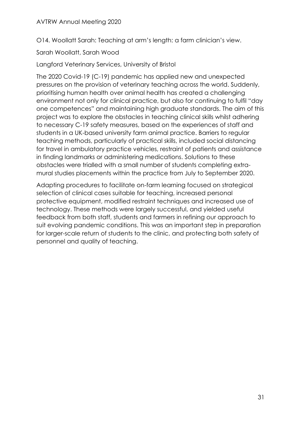O14. Woollatt Sarah: Teaching at arm's length: a farm clinician's view.

Sarah Woollatt, Sarah Wood

Langford Veterinary Services, University of Bristol

The 2020 Covid-19 (C-19) pandemic has applied new and unexpected pressures on the provision of veterinary teaching across the world. Suddenly, prioritising human health over animal health has created a challenging environment not only for clinical practice, but also for continuing to fulfil "day one competences" and maintaining high graduate standards. The aim of this project was to explore the obstacles in teaching clinical skills whilst adhering to necessary C-19 safety measures, based on the experiences of staff and students in a UK-based university farm animal practice. Barriers to regular teaching methods, particularly of practical skills, included social distancing for travel in ambulatory practice vehicles, restraint of patients and assistance in finding landmarks or administering medications. Solutions to these obstacles were trialled with a small number of students completing extramural studies placements within the practice from July to September 2020.

Adapting procedures to facilitate on-farm learning focused on strategical selection of clinical cases suitable for teaching, increased personal protective equipment, modified restraint techniques and increased use of technology. These methods were largely successful, and yielded useful feedback from both staff, students and farmers in refining our approach to suit evolving pandemic conditions. This was an important step in preparation for larger-scale return of students to the clinic, and protecting both safety of personnel and quality of teaching.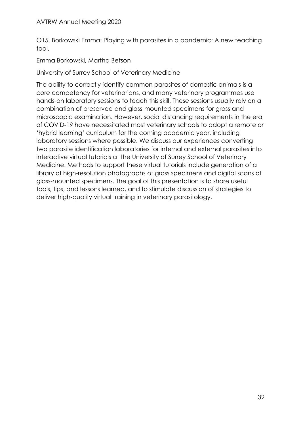O15. Borkowski Emma: Playing with parasites in a pandemic: A new teaching tool.

Emma Borkowski, Martha Betson

University of Surrey School of Veterinary Medicine

The ability to correctly identify common parasites of domestic animals is a core competency for veterinarians, and many veterinary programmes use hands-on laboratory sessions to teach this skill. These sessions usually rely on a combination of preserved and glass-mounted specimens for gross and microscopic examination. However, social distancing requirements in the era of COVID-19 have necessitated most veterinary schools to adopt a remote or 'hybrid learning' curriculum for the coming academic year, including laboratory sessions where possible. We discuss our experiences converting two parasite identification laboratories for internal and external parasites into interactive virtual tutorials at the University of Surrey School of Veterinary Medicine. Methods to support these virtual tutorials include generation of a library of high-resolution photographs of gross specimens and digital scans of glass-mounted specimens. The goal of this presentation is to share useful tools, tips, and lessons learned, and to stimulate discussion of strategies to deliver high-quality virtual training in veterinary parasitology.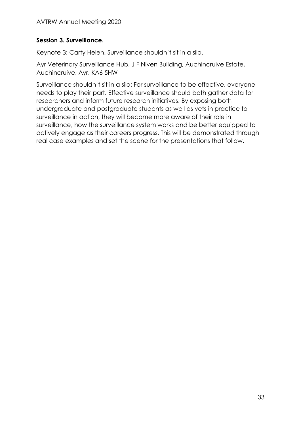# **Session 3. Surveillance.**

Keynote 3: Carty Helen. Surveillance shouldn't sit in a silo.

Ayr Veterinary Surveillance Hub, J F Niven Building, Auchincruive Estate, Auchincruive, Ayr, KA6 5HW

Surveillance shouldn't sit in a silo: For surveillance to be effective, everyone needs to play their part. Effective surveillance should both gather data for researchers and inform future research initiatives. By exposing both undergraduate and postgraduate students as well as vets in practice to surveillance in action, they will become more aware of their role in surveillance, how the surveillance system works and be better equipped to actively engage as their careers progress. This will be demonstrated through real case examples and set the scene for the presentations that follow.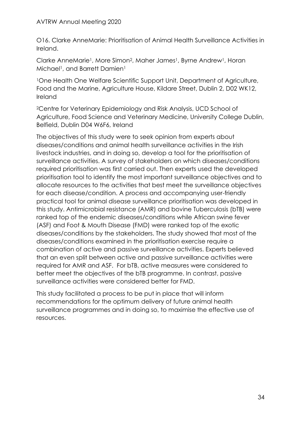O16. Clarke AnneMarie: Prioritisation of Animal Health Surveillance Activities in Ireland.

Clarke AnneMarie<sup>1</sup>, More Simon<sup>2</sup>, Maher James<sup>1</sup>, Byrne Andrew<sup>1</sup>, Horan Michael<sup>1</sup>, and Barrett Damien<sup>1</sup>

<sup>1</sup>One Health One Welfare Scientific Support Unit, Department of Agriculture, Food and the Marine, Agriculture House, Kildare Street, Dublin 2, D02 WK12, Ireland

<sup>2</sup>Centre for Veterinary Epidemiology and Risk Analysis, UCD School of Agriculture, Food Science and Veterinary Medicine, University College Dublin, Belfield, Dublin D04 W6F6, Ireland

The objectives of this study were to seek opinion from experts about diseases/conditions and animal health surveillance activities in the Irish livestock industries, and in doing so, develop a tool for the prioritisation of surveillance activities. A survey of stakeholders on which diseases/conditions required prioritisation was first carried out. Then experts used the developed prioritisation tool to identify the most important surveillance objectives and to allocate resources to the activities that best meet the surveillance objectives for each disease/condition. A process and accompanying user-friendly practical tool for animal disease surveillance prioritisation was developed in this study. Antimicrobial resistance (AMR) and bovine Tuberculosis (bTB) were ranked top of the endemic diseases/conditions while African swine fever (ASF) and Foot & Mouth Disease (FMD) were ranked top of the exotic diseases/conditions by the stakeholders. The study showed that most of the diseases/conditions examined in the prioritisation exercise require a combination of active and passive surveillance activities. Experts believed that an even split between active and passive surveillance activities were required for AMR and ASF. For bTB, active measures were considered to better meet the objectives of the bTB programme. In contrast, passive surveillance activities were considered better for FMD.

This study facilitated a process to be put in place that will inform recommendations for the optimum delivery of future animal health surveillance programmes and in doing so, to maximise the effective use of resources.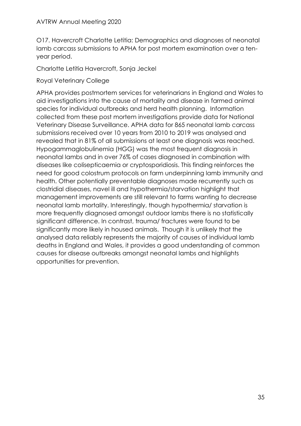O17. Havercroft Charlotte Letitia: Demographics and diagnoses of neonatal lamb carcass submissions to APHA for post mortem examination over a tenyear period.

Charlotte Letitia Havercroft, Sonja Jeckel

Royal Veterinary College

APHA provides postmortem services for veterinarians in England and Wales to aid investigations into the cause of mortality and disease in farmed animal species for individual outbreaks and herd health planning. Information collected from these post mortem investigations provide data for National Veterinary Disease Surveillance. APHA data for 865 neonatal lamb carcass submissions received over 10 years from 2010 to 2019 was analysed and revealed that in 81% of all submissions at least one diagnosis was reached. Hypogammaglobulinemia (HGG) was the most frequent diagnosis in neonatal lambs and in over 76% of cases diagnosed in combination with diseases like colisepticaemia or cryptosporidiosis. This finding reinforces the need for good colostrum protocols on farm underpinning lamb immunity and health. Other potentially preventable diagnoses made recurrently such as clostridial diseases, navel ill and hypothermia/starvation highlight that management improvements are still relevant to farms wanting to decrease neonatal lamb mortality. Interestingly, though hypothermia/ starvation is more frequently diagnosed amongst outdoor lambs there is no statistically significant difference. In contrast, trauma/ fractures were found to be significantly more likely in housed animals. Though it is unlikely that the analysed data reliably represents the majority of causes of individual lamb deaths in England and Wales, it provides a good understanding of common causes for disease outbreaks amongst neonatal lambs and highlights opportunities for prevention.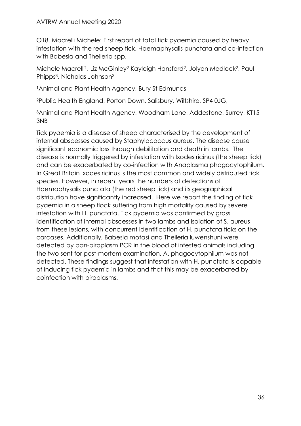O18. Macrelli Michele: First report of fatal tick pyaemia caused by heavy infestation with the red sheep tick, Haemaphysalis punctata and co-infection with Babesia and Theileria spp.

Michele Macrelli<sup>1</sup>, Liz McGinley<sup>2</sup> Kayleigh Hansford<sup>2</sup>, Jolyon Medlock<sup>2</sup>, Paul Phipps3, Nicholas Johnson<sup>3</sup>

<sup>1</sup>Animal and Plant Health Agency, Bury St Edmunds

<sup>2</sup>Public Health England, Porton Down, Salisbury, Wiltshire, SP4 0JG,

<sup>3</sup>Animal and Plant Health Agency, Woodham Lane, Addestone, Surrey, KT15 3NB

Tick pyaemia is a disease of sheep characterised by the development of internal abscesses caused by Staphylococcus aureus. The disease cause significant economic loss through debilitation and death in lambs. The disease is normally triggered by infestation with Ixodes ricinus (the sheep tick) and can be exacerbated by co-infection with Anaplasma phagocytophilum. In Great Britain Ixodes ricinus is the most common and widely distributed tick species. However, in recent years the numbers of detections of Haemaphysalis punctata (the red sheep tick) and its geographical distribution have significantly increased. Here we report the finding of tick pyaemia in a sheep flock suffering from high mortality caused by severe infestation with H. punctata. Tick pyaemia was confirmed by gross identification of internal abscesses in two lambs and isolation of S. aureus from these lesions, with concurrent identification of H. punctata ticks on the carcases. Additionally, Babesia motasi and Theileria luwenshuni were detected by pan-piroplasm PCR in the blood of infested animals including the two sent for post-mortem examination. A. phagocytophilum was not detected. These findings suggest that infestation with H. punctata is capable of inducing tick pyaemia in lambs and that this may be exacerbated by coinfection with piroplasms.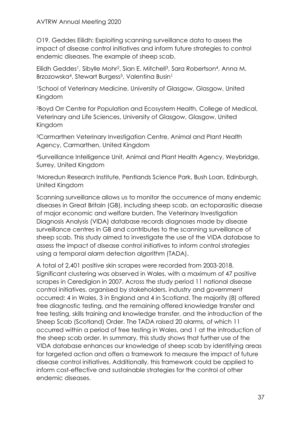### AVTRW Annual Meeting 2020

O19. Geddes Eilidh: Exploiting scanning surveillance data to assess the impact of disease control initiatives and inform future strategies to control endemic diseases. The example of sheep scab.

Eilidh Geddes<sup>1</sup>, Sibylle Mohr<sup>2</sup>, Sian E. Mitchell<sup>3</sup>, Sara Robertson<sup>4</sup>, Anna M. Brzozowska<sup>4</sup>, Stewart Burgess<sup>5</sup>, Valentina Busin<sup>1</sup>

<sup>1</sup>School of Veterinary Medicine, University of Glasgow, Glasgow, United Kingdom

<sup>2</sup>Boyd Orr Centre for Population and Ecosystem Health, College of Medical, Veterinary and Life Sciences, University of Glasgow, Glasgow, United Kingdom

<sup>3</sup>Carmarthen Veterinary Investigation Centre, Animal and Plant Health Agency, Carmarthen, United Kingdom

<sup>4</sup>Surveillance Intelligence Unit, Animal and Plant Health Agency, Weybridge, Surrey, United Kingdom

<sup>5</sup>Moredun Research Institute, Pentlands Science Park, Bush Loan, Edinburgh, United Kingdom

Scanning surveillance allows us to monitor the occurrence of many endemic diseases in Great Britain (GB), including sheep scab, an ectoparasitic disease of major economic and welfare burden. The Veterinary Investigation Diagnosis Analysis (VIDA) database records diagnoses made by disease surveillance centres in GB and contributes to the scanning surveillance of sheep scab. This study aimed to investigate the use of the VIDA database to assess the impact of disease control initiatives to inform control strategies using a temporal alarm detection algorithm (TADA).

A total of 2,401 positive skin scrapes were recorded from 2003-2018. Significant clustering was observed in Wales, with a maximum of 47 positive scrapes in Ceredigion in 2007. Across the study period 11 national disease control initiatives, organised by stakeholders, industry and government occurred: 4 in Wales, 3 in England and 4 in Scotland. The majority (8) offered free diagnostic testing, and the remaining offered knowledge transfer and free testing, skills training and knowledge transfer, and the introduction of the Sheep Scab (Scotland) Order. The TADA raised 20 alarms, of which 11 occurred within a period of free testing in Wales, and 1 at the introduction of the sheep scab order. In summary, this study shows that further use of the VIDA database enhances our knowledge of sheep scab by identifying areas for targeted action and offers a framework to measure the impact of future disease control initiatives. Additionally, this framework could be applied to inform cost-effective and sustainable strategies for the control of other endemic diseases.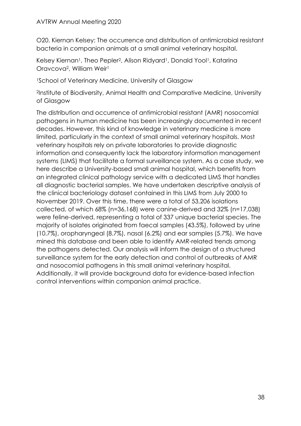O20. Kiernan Kelsey: The occurrence and distribution of antimicrobial resistant bacteria in companion animals at a small animal veterinary hospital.

Kelsey Kiernan<sup>1</sup>, Theo Pepler<sup>2</sup>, Alison Ridyard<sup>1</sup>, Donald Yool<sup>1</sup>, Katarina Oravcova2, William Weir<sup>1</sup>

<sup>1</sup>School of Veterinary Medicine, University of Glasgow

<sup>2</sup>Institute of Biodiversity, Animal Health and Comparative Medicine, University of Glasgow

The distribution and occurrence of antimicrobial resistant (AMR) nosocomial pathogens in human medicine has been increasingly documented in recent decades. However, this kind of knowledge in veterinary medicine is more limited, particularly in the context of small animal veterinary hospitals. Most veterinary hospitals rely on private laboratories to provide diagnostic information and consequently lack the laboratory information management systems (LIMS) that facilitate a formal surveillance system. As a case study, we here describe a University-based small animal hospital, which benefits from an integrated clinical pathology service with a dedicated LIMS that handles all diagnostic bacterial samples. We have undertaken descriptive analysis of the clinical bacteriology dataset contained in this LIMS from July 2000 to November 2019. Over this time, there were a total of 53,206 isolations collected, of which 68% (n=36,168) were canine-derived and 32% (n=17,038) were feline-derived, representing a total of 337 unique bacterial species. The majority of isolates originated from faecal samples (43.5%), followed by urine (10.7%), oropharyngeal (8.7%), nasal (6.2%) and ear samples (5.7%). We have mined this database and been able to identify AMR-related trends among the pathogens detected. Our analysis will inform the design of a structured surveillance system for the early detection and control of outbreaks of AMR and nosocomial pathogens in this small animal veterinary hospital. Additionally, it will provide background data for evidence-based infection control interventions within companion animal practice.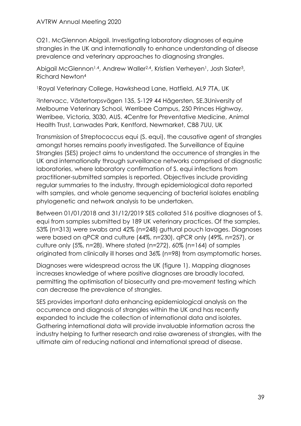O21. McGlennon Abigail. Investigating laboratory diagnoses of equine strangles in the UK and internationally to enhance understanding of disease prevalence and veterinary approaches to diagnosing strangles.

Abigail McGlennon<sup>1,4</sup>, Andrew Waller<sup>2,4</sup>, Kristien Verheyen<sup>1</sup>, Josh Slater<sup>3</sup>, Richard Newton<sup>4</sup>

<sup>1</sup>Royal Veterinary College, Hawkshead Lane, Hatfield, AL9 7TA, UK

<sup>2</sup>Intervacc, Västertorpsvägen 135, S-129 44 Hägersten, SE.3University of Melbourne Veterinary School, Werribee Campus, 250 Princes Highway, Werribee, Victoria, 3030, AUS. 4Centre for Preventative Medicine, Animal Health Trust, Lanwades Park, Kentford, Newmarket, CB8 7UU, UK

Transmission of Streptococcus equi (S. equi), the causative agent of strangles amongst horses remains poorly investigated. The Surveillance of Equine Strangles (SES) project aims to understand the occurrence of strangles in the UK and internationally through surveillance networks comprised of diagnostic laboratories, where laboratory confirmation of S. equi infections from practitioner-submitted samples is reported. Objectives include providing regular summaries to the industry, through epidemiological data reported with samples, and whole genome sequencing of bacterial isolates enabling phylogenetic and network analysis to be undertaken.

Between 01/01/2018 and 31/12/2019 SES collated 516 positive diagnoses of S. equi from samples submitted by 189 UK veterinary practices. Of the samples, 53% (n=313) were swabs and 42% (n=248) guttural pouch lavages. Diagnoses were based on qPCR and culture (44%, n=230), qPCR only (49%, n=257), or culture only (5%, n=28). Where stated (n=272), 60% (n=164) of samples originated from clinically ill horses and 36% (n=98) from asymptomatic horses.

Diagnoses were widespread across the UK (figure 1). Mapping diagnoses increases knowledge of where positive diagnoses are broadly located, permitting the optimisation of biosecurity and pre-movement testing which can decrease the prevalence of strangles.

SES provides important data enhancing epidemiological analysis on the occurrence and diagnosis of strangles within the UK and has recently expanded to include the collection of international data and isolates. Gathering international data will provide invaluable information across the industry helping to further research and raise awareness of strangles, with the ultimate aim of reducing national and international spread of disease.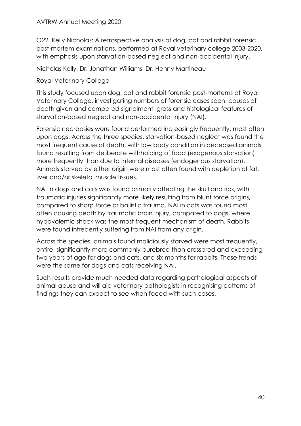O22. Kelly Nicholas: A retrospective analysis of dog, cat and rabbit forensic post-mortem examinations, performed at Royal veterinary college 2003-2020, with emphasis upon starvation-based neglect and non-accidental injury.

Nicholas Kelly, Dr. Jonathan Williams, Dr. Henny Martineau

Royal Veterinary College

This study focused upon dog, cat and rabbit forensic post-mortems at Royal Veterinary College, investigating numbers of forensic cases seen, causes of death given and compared signalment, gross and histological features of starvation-based neglect and non-accidental injury (NAI).

Forensic necropsies were found performed increasingly frequently, most often upon dogs. Across the three species, starvation-based neglect was found the most frequent cause of death, with low body condition in deceased animals found resulting from deliberate withholding of food (exogenous starvation) more frequently than due to internal diseases (endogenous starvation). Animals starved by either origin were most often found with depletion of fat, liver and/or skeletal muscle tissues.

NAI in dogs and cats was found primarily affecting the skull and ribs, with traumatic injuries significantly more likely resulting from blunt force origins, compared to sharp force or ballistic trauma. NAI in cats was found most often causing death by traumatic brain injury, compared to dogs, where hypovolemic shock was the most frequent mechanism of death. Rabbits were found infreqently suffering from NAI from any origin.

Across the species, animals found maliciously starved were most frequently, entire, significantly more commonly purebred than crossbred and exceeding two years of age for dogs and cats, and six months for rabbits. These trends were the same for dogs and cats receiving NAI.

Such results provide much needed data regarding pathological aspects of animal abuse and will aid veterinary pathologists in recognising patterns of findings they can expect to see when faced with such cases.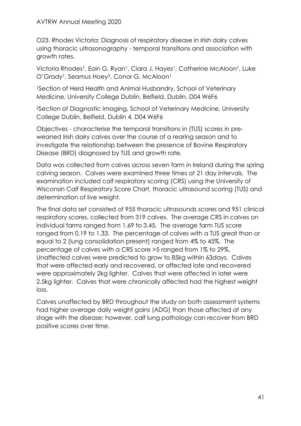O23. Rhodes Victoria: Diagnosis of respiratory disease in Irish dairy calves using thoracic ultrasonography - temporal transitions and association with growth rates.

Victoria Rhodes<sup>1</sup>, Eoin G. Ryan<sup>1</sup>, Ciara J. Hayes<sup>1</sup>, Catherine McAloon<sup>1</sup>, Luke O'Grady<sup>1</sup>, Seamus Hoey<sup>2</sup>, Conor G. McAloon<sup>1</sup>

<sup>1</sup>Section of Herd Health and Animal Husbandry, School of Veterinary Medicine, University College Dublin, Belfield, Dublin, D04 W6F6

<sup>2</sup>Section of Diagnostic Imaging, School of Veterinary Medicine, University College Dublin, Belfield, Dublin 4, D04 W6F6

Objectives - characterise the temporal transitions in (TUS) scores in preweaned Irish dairy calves over the course of a rearing season and to investigate the relationship between the presence of Bovine Respiratory Disease (BRD) diagnosed by TUS and growth rate.

Data was collected from calves across seven farm in Ireland during the spring calving season. Calves were examined three times at 21 day intervals. The examination included calf respiratory scoring (CRS) using the University of Wisconsin Calf Respiratory Score Chart, thoracic ultrasound scoring (TUS) and determination of live weight.

The final data set consisted of 955 thoracic ultrasounds scores and 951 clinical respiratory scores, collected from 319 calves. The average CRS in calves on individual farms ranged from 1.69 to 3.45. The average farm TUS score ranged from 0.19 to 1.33. The percentage of calves with a TUS great than or equal to 2 (lung consolidation present) ranged from 4% to 45%. The percentage of calves with a CRS score >5 ranged from 1% to 29%. Unaffected calves were predicted to grow to 85kg within 63days. Calves that were affected early and recovered, or affected late and recovered were approximately 2kg lighter. Calves that were affected in later were 2.5kg lighter. Calves that were chronically affected had the highest weight loss.

Calves unaffected by BRD throughout the study on both assessment systems had higher average daily weight gains (ADG) than those affected at any stage with the disease; however, calf lung pathology can recover from BRD positive scores over time.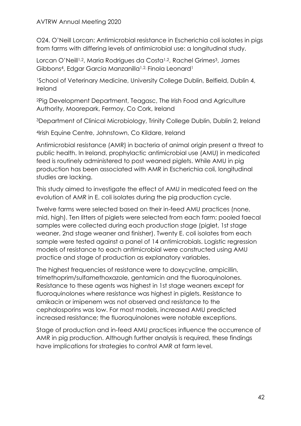#### AVTRW Annual Meeting 2020

O24. O'Neill Lorcan: Antimicrobial resistance in Escherichia coli isolates in pigs from farms with differing levels of antimicrobial use: a longitudinal study.

Lorcan O'Neill<sup>1,2</sup>, Maria Rodrigues da Costa<sup>1,2</sup>, Rachel Grimes<sup>3</sup>, James Gibbons<sup>4</sup>, Edgar Garcia Manzanilla<sup>1,2,</sup> Finola Leonard<sup>1</sup>

<sup>1</sup>School of Veterinary Medicine, University College Dublin, Belfield, Dublin 4, Ireland

<sup>2</sup>Pig Development Department, Teagasc, The Irish Food and Agriculture Authority, Moorepark, Fermoy, Co Cork, Ireland

<sup>3</sup>Department of Clinical Microbiology, Trinity College Dublin, Dublin 2, Ireland

<sup>4</sup>Irish Equine Centre, Johnstown, Co Kildare, Ireland

Antimicrobial resistance (AMR) in bacteria of animal origin present a threat to public health. In Ireland, prophylactic antimicrobial use (AMU) in medicated feed is routinely administered to post weaned piglets. While AMU in pig production has been associated with AMR in Escherichia coli, longitudinal studies are lacking.

This study aimed to investigate the effect of AMU in medicated feed on the evolution of AMR in E. coli isolates during the pig production cycle.

Twelve farms were selected based on their in-feed AMU practices (none, mid, high). Ten litters of piglets were selected from each farm; pooled faecal samples were collected during each production stage (piglet, 1st stage weaner, 2nd stage weaner and finisher). Twenty E. coli isolates from each sample were tested against a panel of 14 antimicrobials. Logistic regression models of resistance to each antimicrobial were constructed using AMU practice and stage of production as explanatory variables.

The highest frequencies of resistance were to doxycycline, ampicillin, trimethoprim/sulfamethoxazole, gentamicin and the fluoroquinolones. Resistance to these agents was highest in 1st stage weaners except for fluoroquinolones where resistance was highest in piglets. Resistance to amikacin or imipenem was not observed and resistance to the cephalosporins was low. For most models, increased AMU predicted increased resistance; the fluoroquinolones were notable exceptions.

Stage of production and in-feed AMU practices influence the occurrence of AMR in pig production. Although further analysis is required, these findings have implications for strategies to control AMR at farm level.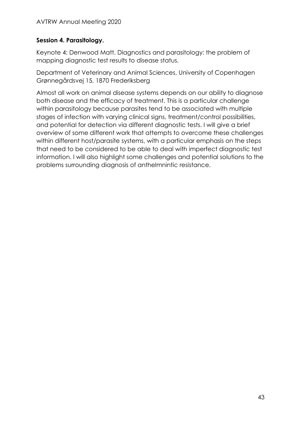# **Session 4. Parasitology.**

Keynote 4: Denwood Matt. Diagnostics and parasitology: the problem of mapping diagnostic test results to disease status.

Department of Veterinary and Animal Sciences, University of Copenhagen Grønnegårdsvej 15, 1870 Frederiksberg

Almost all work on animal disease systems depends on our ability to diagnose both disease and the efficacy of treatment. This is a particular challenge within parasitology because parasites tend to be associated with multiple stages of infection with varying clinical signs, treatment/control possibilities, and potential for detection via different diagnostic tests. I will give a brief overview of some different work that attempts to overcome these challenges within different host/parasite systems, with a particular emphasis on the steps that need to be considered to be able to deal with imperfect diagnostic test information. I will also highlight some challenges and potential solutions to the problems surrounding diagnosis of anthelmnintic resistance.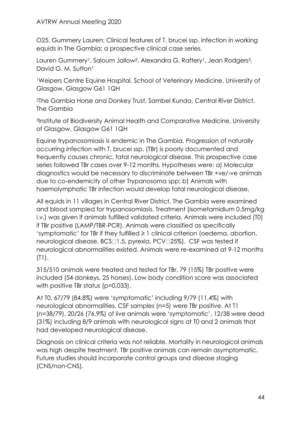O25. Gummery Lauren: Clinical features of T. brucei ssp. infection in working equids in The Gambia: a prospective clinical case series.

Lauren Gummery<sup>1</sup>, Saloum Jallow<sup>2</sup>, Alexandra G. Raftery<sup>1</sup>, Jean Rodgers<sup>3</sup>, David G. M. Sutton<sup>1</sup>

<sup>1</sup>Weipers Centre Equine Hospital, School of Veterinary Medicine, University of Glasgow, Glasgow G61 1QH

<sup>2</sup>The Gambia Horse and Donkey Trust, Sambel Kunda, Central River District, The Gambia

<sup>3</sup>Institute of Biodiversity Animal Health and Comparative Medicine, University of Glasgow, Glasgow G61 1QH

Equine trypanosomiasis is endemic in The Gambia. Progression of naturally occurring infection with T. brucei ssp. (TBr) is poorly documented and frequently causes chronic, fatal neurological disease. This prospective case series followed TBr cases over 9-12 months. Hypotheses were: a) Molecular diagnostics would be necessary to discriminate between TBr +ve/-ve animals due to co-endemicity of other Trypanosoma spp; b) Animals with haemolymphatic TBr infection would develop fatal neurological disease.

All equids in 11 villages in Central River District, The Gambia were examined and blood sampled for trypanosomiasis. Treatment (isometamidium 0.5mg/kg i.v.) was given if animals fulfilled validated criteria. Animals were included (T0) if TBr positive (LAMP/TBR-PCR). Animals were classified as specifically 'symptomatic' for TBr if they fulfilled ≥ 1 clinical criterion (oedema, abortion, neurological disease, BCS<sup>[1]</sup>.5, pyrexia, PCV<sup>[25</sup>%]. CSF was tested if neurological abnormalities existed. Animals were re-examined at 9-12 months (T1).

315/510 animals were treated and tested for TBr, 79 (15%) TBr positive were included (54 donkeys, 25 horses). Low body condition score was associated with positive TBr status (p=0.033).

At T0, 67/79 (84.8%) were 'symptomatic' including 9/79 (11.4%) with neurological abnormalities. CSF samples (n=5) were TBr positive. At T1 (n=38/79), 20/26 (76.9%) of live animals were 'symptomatic', 12/38 were dead (31%) including 8/9 animals with neurological signs at T0 and 2 animals that had developed neurological disease.

Diagnosis on clinical criteria was not reliable. Mortality in neurological animals was high despite treatment. TBr positive animals can remain asymptomatic. Future studies should incorporate control groups and disease staging (CNS/non-CNS).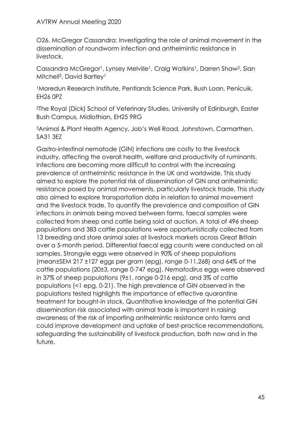O26. McGregor Cassandra: Investigating the role of animal movement in the dissemination of roundworm infection and anthelmintic resistance in livestock.

Cassandra McGregor<sup>1</sup>, Lynsey Melville<sup>1</sup>, Craig Watkins<sup>1</sup>, Darren Shaw<sup>2</sup>, Sian Mitchell<sup>3</sup>, David Bartley<sup>1</sup>

<sup>1</sup>Moredun Research Institute, Pentlands Science Park, Bush Loan, Penicuik, EH26 0PZ

<sup>2</sup>The Royal (Dick) School of Veterinary Studies, University of Edinburgh, Easter Bush Campus, Midlothian, EH25 9RG

<sup>3</sup>Animal & Plant Health Agency, Job's Well Road, Johnstown, Carmarthen, SA31 3EZ

Gastro-intestinal nematode (GIN) infections are costly to the livestock industry, affecting the overall health, welfare and productivity of ruminants. Infections are becoming more difficult to control with the increasing prevalence of anthelmintic resistance in the UK and worldwide. This study aimed to explore the potential risk of dissemination of GIN and anthelmintic resistance posed by animal movements, particularly livestock trade. This study also aimed to explore transportation data in relation to animal movement and the livestock trade. To quantify the prevalence and composition of GIN infections in animals being moved between farms, faecal samples were collected from sheep and cattle being sold at auction. A total of 496 sheep populations and 383 cattle populations were opportunistically collected from 13 breeding and store animal sales at livestock markets across Great Britain over a 5-month period. Differential faecal egg counts were conducted on all samples. Strongyle eggs were observed in 90% of sheep populations (mean±SEM 217 ±127 eggs per gram (epg), range 0-11,268) and 64% of the cattle populations (20±3, range 0-747 epg). *Nematodirus* eggs were observed in 37% of sheep populations (9±1, range 0-216 epg), and 3% of cattle populations (<1 epg, 0-21). The high prevalence of GIN observed in the populations tested highlights the importance of effective quarantine treatment for bought-in stock. Quantitative knowledge of the potential GIN dissemination risk associated with animal trade is important in raising awareness of the risk of importing anthelmintic resistance onto farms and could improve development and uptake of best-practice recommendations, safeguarding the sustainability of livestock production, both now and in the future.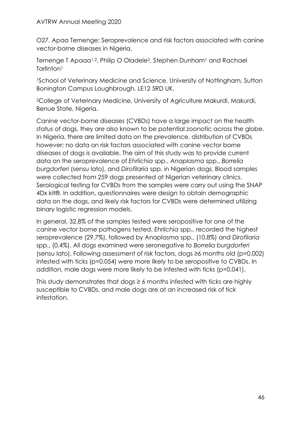O27. Apaa Ternenge: Seroprevalence and risk factors associated with canine vector-borne diseases in Nigeria.

Ternenge T Apaaa<sup>1,2</sup>, Philip O Oladele<sup>2</sup>, Stephen Dunham<sup>1</sup> and Rachael Tarlinton<sup>1</sup>

<sup>1</sup>School of Veterinary Medicine and Science, University of Nottingham, Sutton Bonington Campus Loughbrough, LE12 5RD UK.

<sup>2</sup>College of Veterinary Medicine, University of Agriculture Makurdi, Makurdi, Benue State, Nigeria.

Canine vector-borne diseases (CVBDs) have a large impact on the health status of dogs, they are also known to be potential zoonotic across the globe. In Nigeria, there are limited data on the prevalence, distribution of CVBDs however; no data on risk factors associated with canine vector borne diseases of dogs is available. The aim of this study was to provide current data on the seroprevalence of *Ehrlichia* spp., *Anaplasma* spp., *Borrelia burgdorferi* (sensu lato), and *Dirofilaria* spp. in Nigerian dogs. Blood samples were collected from 259 dogs presented at Nigerian veterinary clinics. Serological testing for CVBDs from the samples were carry out using the SNAP 4Dx kit®. In addition, questionnaires were design to obtain demographic data on the dogs, and likely risk factors for CVBDs were determined utilizing binary logistic regression models.

In general, 32.8% of the samples tested were seropositive for one of the canine vector borne pathogens tested. *Ehrlichia* spp., recorded the highest seroprevalence (29.7%), followed by Anaplasma spp., (10.8%) and *Dirofilaria* spp., (0.4%). All dogs examined were seronegative to *Borrelia burgdorferi* (sensu lato). Following assessment of risk factors, dogs ≥6 months old (p=0.002) infested with ticks (p=0.054) were more likely to be seropositive to CVBDs. In addition, male dogs were more likely to be infested with ticks (p=0.041).

This study demonstrates that dogs  $\geq$  6 months infested with ticks are highly susceptible to CVBDs, and male dogs are at an increased risk of tick infestation.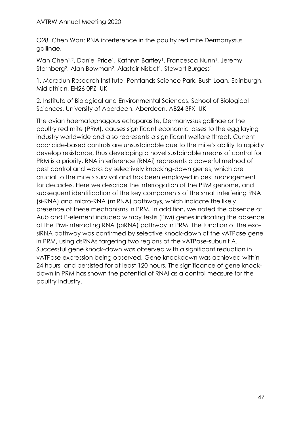O28. Chen Wan: RNA interference in the poultry red mite Dermanyssus gallinae.

Wan Chen<sup>1,2</sup>, Daniel Price<sup>1</sup>, Kathryn Bartley<sup>1</sup>, Francesca Nunn<sup>1</sup>, Jeremy Sternberg<sup>2</sup>, Alan Bowman<sup>2</sup>, Alastair Nisbet<sup>1</sup>, Stewart Burgess<sup>1</sup>

1. Moredun Research Institute, Pentlands Science Park, Bush Loan, Edinburgh, Midlothian, EH26 0PZ, UK

2. Institute of Biological and Environmental Sciences, School of Biological Sciences, University of Aberdeen, Aberdeen, AB24 3FX, UK

The avian haematophagous ectoparasite, Dermanyssus gallinae or the poultry red mite (PRM), causes significant economic losses to the egg laying industry worldwide and also represents a significant welfare threat. Current acaricide-based controls are unsustainable due to the mite's ability to rapidly develop resistance, thus developing a novel sustainable means of control for PRM is a priority. RNA interference (RNAi) represents a powerful method of pest control and works by selectively knocking-down genes, which are crucial to the mite's survival and has been employed in pest management for decades. Here we describe the interrogation of the PRM genome, and subsequent identification of the key components of the small interfering RNA (si-RNA) and micro-RNA (miRNA) pathways, which indicate the likely presence of these mechanisms in PRM. In addition, we noted the absence of Aub and P-element induced wimpy testis (Piwi) genes indicating the absence of the Piwi-interacting RNA (piRNA) pathway in PRM. The function of the exosiRNA pathway was confirmed by selective knock-down of the vATPase gene in PRM, using dsRNAs targeting two regions of the vATPase-subunit A. Successful gene knock-down was observed with a significant reduction in vATPase expression being observed. Gene knockdown was achieved within 24 hours, and persisted for at least 120 hours. The significance of gene knockdown in PRM has shown the potential of RNAi as a control measure for the poultry industry.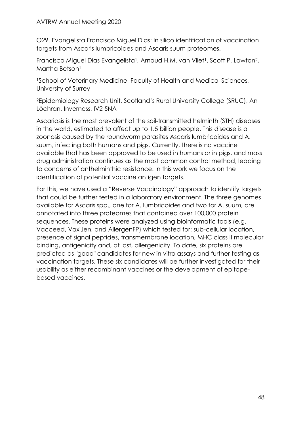O29. Evangelista Francisco Miguel Dias: In silico identification of vaccination targets from Ascaris lumbricoides and Ascaris suum proteomes.

Francisco Miguel Dias Evangelista<sup>1</sup>, Arnoud H.M. van Vliet<sup>1</sup>, Scott P. Lawton<sup>2</sup>, Martha Betson<sup>1</sup>

<sup>1</sup>School of Veterinary Medicine, Faculty of Health and Medical Sciences, University of Surrey

<sup>2</sup>Epidemiology Research Unit, Scotland's Rural University College (SRUC), An Lòchran, Inverness, IV2 5NA

Ascariasis is the most prevalent of the soil-transmitted helminth (STH) diseases in the world, estimated to affect up to 1.5 billion people. This disease is a zoonosis caused by the roundworm parasites Ascaris lumbricoides and A. suum, infecting both humans and pigs. Currently, there is no vaccine available that has been approved to be used in humans or in pigs, and mass drug administration continues as the most common control method, leading to concerns of anthelminthic resistance. In this work we focus on the identification of potential vaccine antigen targets.

For this, we have used a "Reverse Vaccinology" approach to identify targets that could be further tested in a laboratory environment. The three genomes available for Ascaris spp., one for A. lumbricoides and two for A. suum, are annotated into three proteomes that contained over 100,000 protein sequences. These proteins were analyzed using bioinformatic tools (e.g. Vacceed, VaxiJen, and AllergenFP) which tested for: sub-cellular location, presence of signal peptides, transmembrane location, MHC class II molecular binding, antigenicity and, at last, allergenicity. To date, six proteins are predicted as "good" candidates for new in vitro assays and further testing as vaccination targets. These six candidates will be further investigated for their usability as either recombinant vaccines or the development of epitopebased vaccines.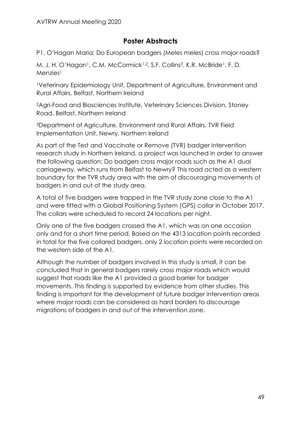# **Poster Abstracts**

<span id="page-48-0"></span>P1. O'Hagan Maria: Do European badgers (Meles meles) cross major roads?

M. J. H. O'Hagan<sup>1</sup>, C.M. McCormick<sup>1,2</sup>, S.F. Collins<sup>3</sup>, K.R. McBride<sup>1</sup>, F. D. Menzies<sup>1</sup>

<sup>1</sup>Veterinary Epidemiology Unit, Department of Agriculture, Environment and Rural Affairs, Belfast, Northern Ireland

<sup>2</sup>Agri-Food and Biosciences Institute, Veterinary Sciences Division, Stoney Road, Belfast, Northern Ireland

<sup>3</sup>Department of Agriculture, Environment and Rural Affairs, TVR Field Implementation Unit, Newry, Northern Ireland

As part of the Test and Vaccinate or Remove (TVR) badger intervention research study in Northern Ireland, a project was launched in order to answer the following question: Do badgers cross major roads such as the A1 dual carriageway, which runs from Belfast to Newry? This road acted as a western boundary for the TVR study area with the aim of discouraging movements of badgers in and out of the study area.

A total of five badgers were trapped in the TVR study zone close to the A1 and were fitted with a Global Positioning System (GPS) collar in October 2017. The collars were scheduled to record 24 locations per night.

Only one of the five badgers crossed the A1, which was on one occasion only and for a short time period. Based on the 4313 location points recorded in total for the five collared badgers, only 2 location points were recorded on the western side of the A1.

Although the number of badgers involved in this study is small, it can be concluded that in general badgers rarely cross major roads which would suggest that roads like the A1 provided a good barrier for badger movements. This finding is supported by evidence from other studies. This finding is important for the development of future badger intervention areas where major roads can be considered as hard borders to discourage migrations of badgers in and out of the intervention zone.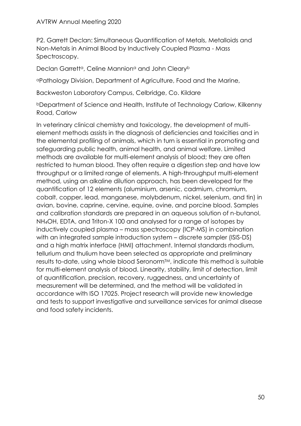#### AVTRW Annual Meeting 2020

P2. Garrett Declan: Simultaneous Quantification of Metals, Metalloids and Non-Metals in Animal Blood by Inductively Coupled Plasma - Mass Spectroscopy.

Declan Garrett<sup>a</sup>, Celine Mannion<sup>a</sup> and John Cleary<sup>b</sup>

<sup>a</sup>Pathology Division, Department of Agriculture, Food and the Marine,

Backweston Laboratory Campus, Celbridge, Co. Kildare

<sup>b</sup>Department of Science and Health, Institute of Technology Carlow, Kilkenny Road, Carlow

In veterinary clinical chemistry and toxicology, the development of multielement methods assists in the diagnosis of deficiencies and toxicities and in the elemental profiling of animals, which in turn is essential in promoting and safeguarding public health, animal health, and animal welfare. Limited methods are available for multi-element analysis of blood; they are often restricted to human blood. They often require a digestion step and have low throughput or a limited range of elements. A high-throughput multi-element method, using an alkaline dilution approach, has been developed for the quantification of 12 elements (aluminium, arsenic, cadmium, chromium, cobalt, copper, lead, manganese, molybdenum, nickel, selenium, and tin) in avian, bovine, caprine, cervine, equine, ovine, and porcine blood. Samples and calibration standards are prepared in an aqueous solution of n-butanol, NH4OH, EDTA, and Triton-X 100 and analysed for a range of isotopes by inductively coupled plasma – mass spectroscopy (ICP-MS) in combination with an integrated sample introduction system – discrete sampler (ISIS-DS) and a high matrix interface (HMI) attachment. Internal standards rhodium, tellurium and thulium have been selected as appropriate and preliminary results to-date, using whole blood Seronorm™, indicate this method is suitable for multi-element analysis of blood. Linearity, stability, limit of detection, limit of quantification, precision, recovery, ruggedness, and uncertainty of measurement will be determined, and the method will be validated in accordance with ISO 17025. Project research will provide new knowledge and tests to support investigative and surveillance services for animal disease and food safety incidents.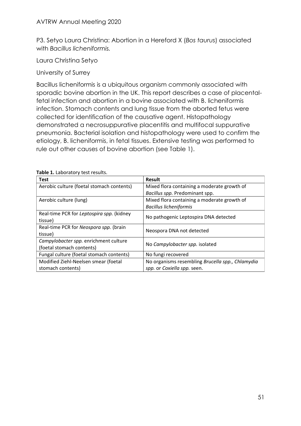P3. Setyo Laura Christina: Abortion in a Hereford X (*Bos taurus*) associated with *Bacillus licheniformis.*

Laura Christina Setyo

University of Surrey

Bacillus licheniformis is a ubiquitous organism commonly associated with sporadic bovine abortion in the UK. This report describes a case of placentalfetal infection and abortion in a bovine associated with B. licheniformis infection. Stomach contents and lung tissue from the aborted fetus were collected for identification of the causative agent. Histopathology demonstrated a necrosuppurative placentitis and multifocal suppurative pneumonia. Bacterial isolation and histopathology were used to confirm the etiology, B. licheniformis, in fetal tissues. Extensive testing was performed to rule out other causes of bovine abortion (see Table 1).

| <b>Test</b>                               | <b>Result</b>                                    |  |  |  |
|-------------------------------------------|--------------------------------------------------|--|--|--|
| Aerobic culture (foetal stomach contents) | Mixed flora containing a moderate growth of      |  |  |  |
|                                           | Bacillus spp. Predominant spp.                   |  |  |  |
| Aerobic culture (lung)                    | Mixed flora containing a moderate growth of      |  |  |  |
|                                           | <b>Bacillus licheniformis</b>                    |  |  |  |
| Real-time PCR for Leptospira spp. (kidney |                                                  |  |  |  |
| tissue)                                   | No pathogenic Leptospira DNA detected            |  |  |  |
| Real-time PCR for Neospora spp. (brain    |                                                  |  |  |  |
| tissue)                                   | Neospora DNA not detected                        |  |  |  |
| Campylobacter spp. enrichment culture     | No Campylobacter spp. isolated                   |  |  |  |
| (foetal stomach contents)                 |                                                  |  |  |  |
| Fungal culture (foetal stomach contents)  | No fungi recovered                               |  |  |  |
| Modified Ziehl-Neelsen smear (foetal      | No organisms resembling Brucella spp., Chlamydia |  |  |  |
| stomach contents)                         | spp. or Coxiella spp. seen.                      |  |  |  |

**Table 1.** Laboratory test results.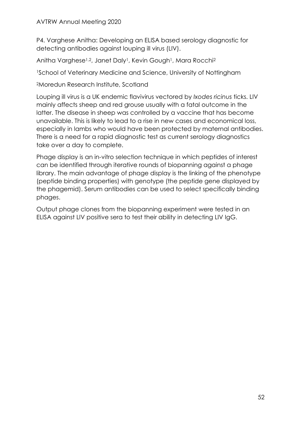### AVTRW Annual Meeting 2020

P4. Varghese Anitha: Developing an ELISA based serology diagnostic for detecting antibodies against louping ill virus (LIV).

Anitha Varghese<sup>1,2</sup>, Janet Daly<sup>1</sup>, Kevin Gough<sup>1</sup>, Mara Rocchi<sup>2</sup>

<sup>1</sup>School of Veterinary Medicine and Science, University of Nottingham

<sup>2</sup>Moredun Research Institute, Scotland

Louping ill virus is a UK endemic flavivirus vectored by *Ixodes ricinus* ticks. LIV mainly affects sheep and red grouse usually with a fatal outcome in the latter. The disease in sheep was controlled by a vaccine that has become unavailable. This is likely to lead to a rise in new cases and economical loss, especially in lambs who would have been protected by maternal antibodies. There is a need for a rapid diagnostic test as current serology diagnostics take over a day to complete.

Phage display is an in-vitro selection technique in which peptides of interest can be identified through iterative rounds of biopanning against a phage library. The main advantage of phage display is the linking of the phenotype (peptide binding properties) with genotype (the peptide gene displayed by the phagemid). Serum antibodies can be used to select specifically binding phages.

Output phage clones from the biopanning experiment were tested in an ELISA against LIV positive sera to test their ability in detecting LIV IgG.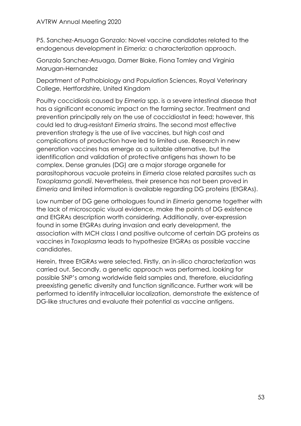P5. Sanchez-Arsuaga Gonzalo: Novel vaccine candidates related to the endogenous development in *Eimeria:* a characterization approach.

Gonzalo Sanchez-Arsuaga, Damer Blake, Fiona Tomley and Virginia Marugan-Hernandez

Department of Pathobiology and Population Sciences, Royal Veterinary College, Hertfordshire, United Kingdom

Poultry coccidiosis caused by *Eimeria* spp. is a severe intestinal disease that has a significant economic impact on the farming sector. Treatment and prevention principally rely on the use of coccidiostat in feed; however, this could led to drug-resistant *Eimeria* strains. The second most effective prevention strategy is the use of live vaccines, but high cost and complications of production have led to limited use. Research in new generation vaccines has emerge as a suitable alternative, but the identification and validation of protective antigens has shown to be complex. Dense granules (DG) are a major storage organelle for parasitophorous vacuole proteins in *Eimeria* close related parasites such as *Toxoplasma gondii*. Nevertheless, their presence has not been proved in *Eimeria* and limited information is available regarding DG proteins (EtGRAs).

Low number of DG gene orthologues found in *Eimeria* genome together with the lack of microscopic visual evidence, make the points of DG existence and EtGRAs description worth considering. Additionally, over-expression found in some EtGRAs during invasion and early development, the association with MCH class I and positive outcome of certain DG proteins as vaccines in *Toxoplasma* leads to hypothesize EtGRAs as possible vaccine candidates.

Herein, three EtGRAs were selected. Firstly, an in-silico characterization was carried out. Secondly, a genetic approach was performed, looking for possible SNP's among worldwide field samples and, therefore, elucidating preexisting genetic diversity and function significance. Further work will be performed to identify intracellular localization, demonstrate the existence of DG-like structures and evaluate their potential as vaccine antigens.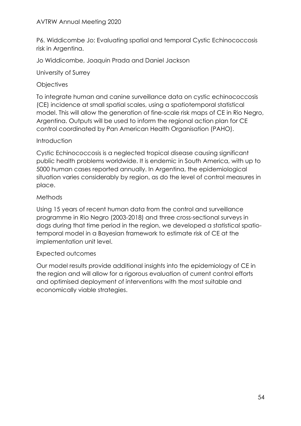P6. Widdicombe Jo: Evaluating spatial and temporal Cystic Echinococcosis risk in Argentina.

Jo Widdicombe, Joaquin Prada and Daniel Jackson

University of Surrey

## **Objectives**

To integrate human and canine surveillance data on cystic echinococcosis (CE) incidence at small spatial scales, using a spatiotemporal statistical model. This will allow the generation of fine-scale risk maps of CE in Rio Negro, Argentina. Outputs will be used to inform the regional action plan for CE control coordinated by Pan American Health Organisation (PAHO).

## **Introduction**

Cystic Echinococcosis is a neglected tropical disease causing significant public health problems worldwide. It is endemic in South America, with up to 5000 human cases reported annually. In Argentina, the epidemiological situation varies considerably by region, as do the level of control measures in place.

## Methods

Using 15 years of recent human data from the control and surveillance programme in Rio Negro (2003-2018) and three cross-sectional surveys in dogs during that time period in the region, we developed a statistical spatiotemporal model in a Bayesian framework to estimate risk of CE at the implementation unit level.

# Expected outcomes

Our model results provide additional insights into the epidemiology of CE in the region and will allow for a rigorous evaluation of current control efforts and optimised deployment of interventions with the most suitable and economically viable strategies.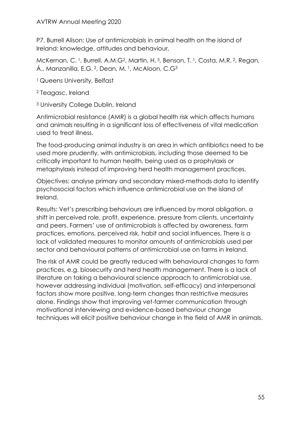P7. Burrell Alison: Use of antimicrobials in animal health on the island of Ireland: knowledge, attitudes and behaviour.

McKernan, C.<sup>1</sup>, Burrell, A.M.G<sup>2</sup>, Martin, H.<sup>3</sup>, Benson, T.<sup>1</sup>, Costa, M.R.<sup>2</sup>, Regan, Á., Manzanilla, E.G. <sup>2</sup>, Dean, M. <sup>1</sup>, McAloon, C.G<sup>3</sup>

- <sup>1</sup> Queens University, Belfast
- <sup>2</sup> Teagasc, Ireland
- <sup>3</sup> University College Dublin, Ireland

Antimicrobial resistance (AMR) is a global health risk which affects humans and animals resulting in a significant loss of effectiveness of vital medication used to treat illness.

The food-producing animal industry is an area in which antibiotics need to be used more prudently, with antimicrobials, including those deemed to be critically important to human health, being used as a prophylaxis or metaphylaxis instead of improving herd health management practices.

Objectives: analyse primary and secondary mixed-methods data to identify psychosocial factors which influence antimicrobial use on the island of Ireland.

Results: Vet's prescribing behaviours are influenced by moral obligation, a shift in perceived role, profit, experience, pressure from clients, uncertainty and peers. Farmers' use of antimicrobials is affected by awareness, farm practices, emotions, perceived risk, habit and social influences. There is a lack of validated measures to monitor amounts of antimicrobials used per sector and behavioural patterns of antimicrobial use on farms in Ireland.

The risk of AMR could be greatly reduced with behavioural changes to farm practices, e.g. biosecurity and herd health management. There is a lack of literature on taking a behavioural science approach to antimicrobial use, however addressing individual (motivation, self-efficacy) and interpersonal factors show more positive, long-term changes than restrictive measures alone. Findings show that improving vet-farmer communication through motivational interviewing and evidence-based behaviour change techniques will elicit positive behaviour change in the field of AMR in animals.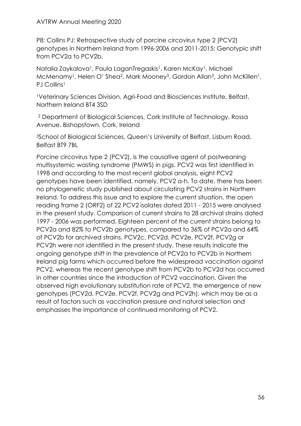P8: Collins PJ: Retrospective study of porcine circovirus type 2 (PCV2) genotypes in Northern Ireland from 1996-2006 and 2011-2015: Genotypic shift from PCV2a to PCV2b.

Natalia Zaykalova<sup>1</sup>, Paula LaganTregaskis<sup>1</sup>, Karen McKay<sup>1</sup>, Michael McMenamy<sup>1</sup>, Helen O' Shea<sup>2</sup>, Mark Mooney<sup>3</sup>, Gordon Allan<sup>3</sup>, John McKillen<sup>1</sup>, PJ Collins<sup>1</sup>

<sup>1</sup>Veterinary Sciences Division, Agri-Food and Biosciences Institute, Belfast, Northern Ireland BT4 3SD

<sup>2</sup> Department of Biological Sciences, Cork Institute of Technology, Rossa Avenue. Bishopstown, Cork, Ireland

<sup>3</sup>School of Biological Sciences, Queen's University of Belfast, Lisburn Road, Belfast BT9 7BL

Porcine circovirus type 2 (PCV2), is the causative agent of postweaning multisystemic wasting syndrome (PMWS) in pigs. PCV2 was first identified in 1998 and according to the most recent global analysis, eight PCV2 genotypes have been identified, namely, PCV2 a-h. To date, there has been no phylogenetic study published about circulating PCV2 strains in Northern Ireland. To address this issue and to explore the current situation, the open reading frame 2 (ORF2) of 22 PCV2 isolates dated 2011 - 2015 were analysed in the present study. Comparison of current strains to 28 archival strains dated 1997 - 2006 was performed. Eighteen percent of the current strains belong to PCV2a and 82% to PCV2b genotypes, compared to 36% of PCV2a and 64% of PCV2b for archived strains. PCV2c, PCV2d, PCV2e, PCV2f, PCV2g or PCV2h were not identified in the present study. These results indicate the ongoing genotype shift in the prevalence of PCV2a to PCV2b in Northern Ireland pig farms which occurred before the widespread vaccination against PCV2, whereas the recent genotype shift from PCV2b to PCV2d has occurred in other countries since the introduction of PCV2 vaccination. Given the observed high evolutionary substitution rate of PCV2, the emergence of new genotypes (PCV2d, PCV2e, PCV2f, PCV2g and PCV2h), which may be as a result of factors such as vaccination pressure and natural selection and emphasises the importance of continued monitoring of PCV2.